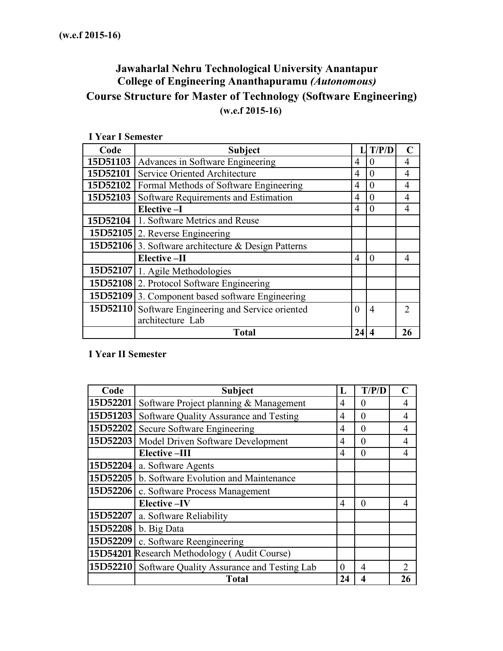# **Jawaharlal Nehru Technological University Anantapur College of Engineering Ananthapuramu** *(Autonomous)* **Course Structure for Master of Technology (Software Engineering) (w.e.f 2015-16)**

| 1 year 1 Semester |                                                            |                |                |                             |
|-------------------|------------------------------------------------------------|----------------|----------------|-----------------------------|
| Code              | <b>Subject</b>                                             |                | T/P/D          | $\mathbf C$                 |
| 15D51103          | Advances in Software Engineering                           | 4              | 0              | 4                           |
| 15D52101          | Service Oriented Architecture                              | 4              | 0              | 4                           |
| 15D52102          | Formal Methods of Software Engineering                     | $\overline{4}$ | 0              | 4                           |
| 15D52103          | Software Requirements and Estimation                       | $\overline{4}$ | 0              | 4                           |
|                   | Elective-I                                                 | $\overline{4}$ | 0              | 4                           |
| 15D52104          | 1. Software Metrics and Reuse                              |                |                |                             |
|                   | 15D52105 2. Reverse Engineering                            |                |                |                             |
|                   | <b>15D52106</b> 3. Software architecture & Design Patterns |                |                |                             |
|                   | Elective-II                                                | $\overline{4}$ | $\theta$       | 4                           |
|                   | 15D52107 1. Agile Methodologies                            |                |                |                             |
|                   | 15D52108 2. Protocol Software Engineering                  |                |                |                             |
|                   | 15D52109 3. Component based software Engineering           |                |                |                             |
|                   | 15D52110 Software Engineering and Service oriented         | $\theta$       | $\overline{4}$ | $\mathcal{D}_{\mathcal{L}}$ |
|                   | architecture Lab                                           |                |                |                             |
|                   | <b>Total</b>                                               | 24             |                | 26                          |

**I Year I Semester**

## **I Year II Semester**

| Code     | <b>Subject</b>                                      | L              | T/P/D    | $\mathsf{\Gamma}$ |
|----------|-----------------------------------------------------|----------------|----------|-------------------|
| 15D52201 | Software Project planning & Management              | 4              | $\theta$ | 4                 |
| 15D51203 | Software Quality Assurance and Testing              | 4              | 0        | $\overline{4}$    |
| 15D52202 | Secure Software Engineering                         | 4              | 0        | 4                 |
| 15D52203 | Model Driven Software Development                   | 4              | $\theta$ | 4                 |
|          | <b>Elective-III</b>                                 | 4              | 0        | 4                 |
| 15D52204 | a. Software Agents                                  |                |          |                   |
| 15D52205 | b. Software Evolution and Maintenance               |                |          |                   |
| 15D52206 | c. Software Process Management                      |                |          |                   |
|          | <b>Elective-IV</b>                                  | $\overline{4}$ | $\theta$ | 4                 |
| 15D52207 | a. Software Reliability                             |                |          |                   |
| 15D52208 | b. Big Data                                         |                |          |                   |
| 15D52209 | c. Software Reengineering                           |                |          |                   |
|          | 15D54201 Research Methodology (Audit Course)        |                |          |                   |
|          | 15D52210 Software Quality Assurance and Testing Lab | $\theta$       | 4        | 2                 |
|          | <b>Total</b>                                        | 24             | 4        | 26                |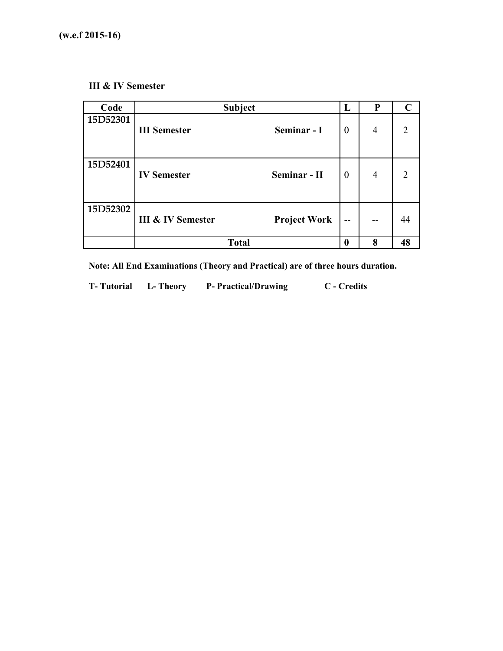## **III & IV Semester**

| Code     | <b>Subject</b>               |                     | L        | P              | $\mathbf C$    |
|----------|------------------------------|---------------------|----------|----------------|----------------|
| 15D52301 | <b>III</b> Semester          | Seminar - I         | $\theta$ | $\overline{4}$ | $\overline{2}$ |
| 15D52401 | <b>IV Semester</b>           | Seminar - II        | $\theta$ | $\overline{4}$ | $\overline{2}$ |
| 15D52302 | <b>III &amp; IV Semester</b> | <b>Project Work</b> | --       |                | 44             |
|          | <b>Total</b>                 |                     | 0        | 8              | 48             |

**Note: All End Examinations (Theory and Practical) are of three hours duration.**

**T- Tutorial L- Theory P- Practical/Drawing C - Credits**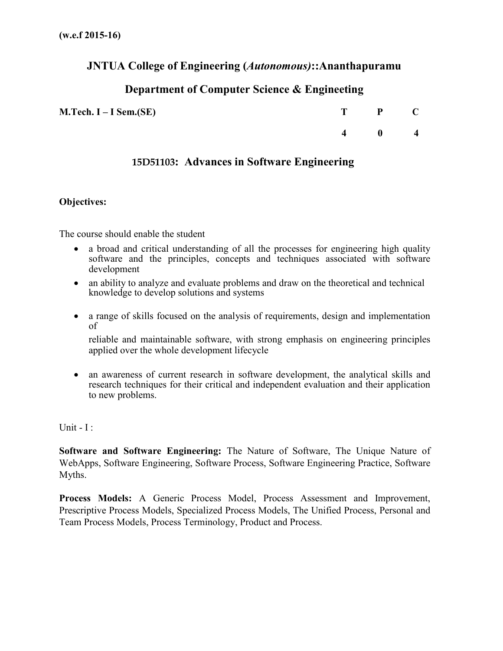## **JNTUA College of Engineering (***Autonomous)***::Ananthapuramu**

# **Department of Computer Science & Engineeting**

**M.Tech. I – I Sem.(SE) T P C**

**4 0 4**

## **15D51103: Advances in Software Engineering**

### **Objectives:**

The course should enable the student

- a broad and critical understanding of all the processes for engineering high quality software and the principles, concepts and techniques associated with software development
- an ability to analyze and evaluate problems and draw on the theoretical and technical knowledge to develop solutions and systems
- a range of skills focused on the analysis of requirements, design and implementation of

reliable and maintainable software, with strong emphasis on engineering principles applied over the whole development lifecycle

• an awareness of current research in software development, the analytical skills and research techniques for their critical and independent evaluation and their application to new problems.

Unit  $-I$  :

**Software and Software Engineering:** The Nature of Software, The Unique Nature of WebApps, Software Engineering, Software Process, Software Engineering Practice, Software Myths.

**Process Models:** A Generic Process Model, Process Assessment and Improvement, Prescriptive Process Models, Specialized Process Models, The Unified Process, Personal and Team Process Models, Process Terminology, Product and Process.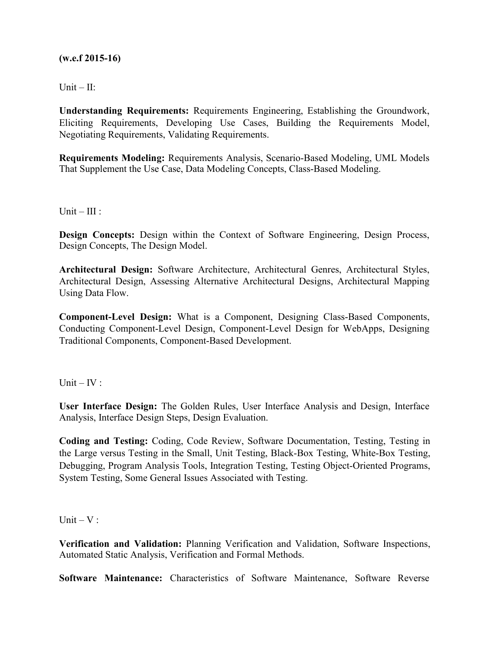Unit –  $II:$ 

**Understanding Requirements:** Requirements Engineering, Establishing the Groundwork, Eliciting Requirements, Developing Use Cases, Building the Requirements Model, Negotiating Requirements, Validating Requirements.

**Requirements Modeling:** Requirements Analysis, Scenario-Based Modeling, UML Models That Supplement the Use Case, Data Modeling Concepts, Class-Based Modeling.

 $Unit - III:$ 

**Design Concepts:** Design within the Context of Software Engineering, Design Process, Design Concepts, The Design Model.

**Architectural Design:** Software Architecture, Architectural Genres, Architectural Styles, Architectural Design, Assessing Alternative Architectural Designs, Architectural Mapping Using Data Flow.

**Component-Level Design:** What is a Component, Designing Class-Based Components, Conducting Component-Level Design, Component-Level Design for WebApps, Designing Traditional Components, Component-Based Development.

Unit –  $IV:$ 

**User Interface Design:** The Golden Rules, User Interface Analysis and Design, Interface Analysis, Interface Design Steps, Design Evaluation.

**Coding and Testing:** Coding, Code Review, Software Documentation, Testing, Testing in the Large versus Testing in the Small, Unit Testing, Black-Box Testing, White-Box Testing, Debugging, Program Analysis Tools, Integration Testing, Testing Object-Oriented Programs, System Testing, Some General Issues Associated with Testing.

Unit  $-V$  :

**Verification and Validation:** Planning Verification and Validation, Software Inspections, Automated Static Analysis, Verification and Formal Methods.

**Software Maintenance:** Characteristics of Software Maintenance, Software Reverse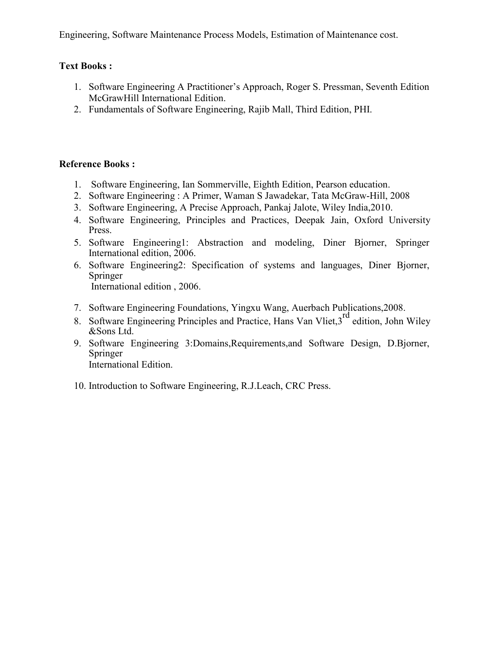Engineering, Software Maintenance Process Models, Estimation of Maintenance cost.

## **Text Books :**

- 1. Software Engineering A Practitioner's Approach, Roger S. Pressman, Seventh Edition McGrawHill International Edition.
- 2. Fundamentals of Software Engineering, Rajib Mall, Third Edition, PHI.

## **Reference Books :**

- 1. Software Engineering, Ian Sommerville, Eighth Edition, Pearson education.
- 2. Software Engineering : A Primer, Waman S Jawadekar, Tata McGraw-Hill, 2008
- 3. Software Engineering, A Precise Approach, Pankaj Jalote, Wiley India,2010.
- 4. Software Engineering, Principles and Practices, Deepak Jain, Oxford University Press.
- 5. Software Engineering1: Abstraction and modeling, Diner Bjorner, Springer International edition, 2006.
- 6. Software Engineering2: Specification of systems and languages, Diner Bjorner, Springer International edition , 2006.
- 7. Software Engineering Foundations, Yingxu Wang, Auerbach Publications,2008.
- 8. Software Engineering Principles and Practice, Hans Van Vliet,3<sup>rd</sup> edition, John Wiley &Sons Ltd.
- 9. Software Engineering 3:Domains,Requirements,and Software Design, D.Bjorner, Springer International Edition.
- 10. Introduction to Software Engineering, R.J.Leach, CRC Press.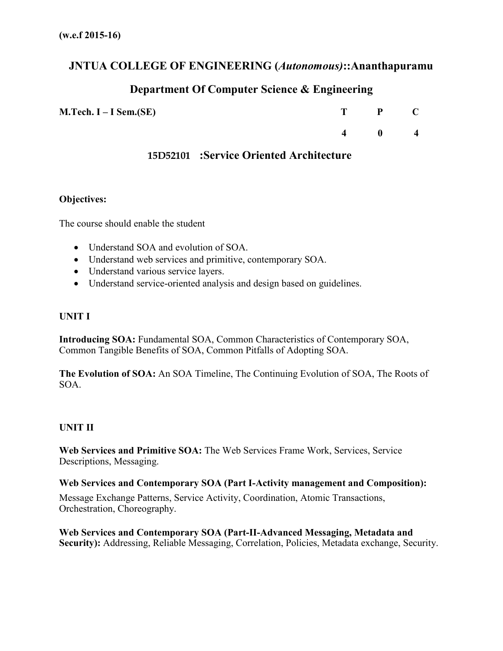## **JNTUA COLLEGE OF ENGINEERING (***Autonomous)***::Ananthapuramu**

# **Department Of Computer Science & Engineering**

| $M.Tech. I-I Sem.(SE)$ | T P C         |  |
|------------------------|---------------|--|
|                        | $4 \t 0 \t 4$ |  |

## **15D52101 :Service Oriented Architecture**

### **Objectives:**

The course should enable the student

- Understand SOA and evolution of SOA.
- Understand web services and primitive, contemporary SOA.
- Understand various service layers.
- Understand service-oriented analysis and design based on guidelines.

#### **UNIT I**

**Introducing SOA:** Fundamental SOA, Common Characteristics of Contemporary SOA, Common Tangible Benefits of SOA, Common Pitfalls of Adopting SOA.

**The Evolution of SOA:** An SOA Timeline, The Continuing Evolution of SOA, The Roots of SOA.

#### **UNIT II**

Web Services and Primitive SOA: The Web Services Frame Work, Services, Service Descriptions, Messaging.

#### **Web Services and Contemporary SOA (Part I-Activity management and Composition):**

Message Exchange Patterns, Service Activity, Coordination, Atomic Transactions, Orchestration, Choreography.

**Web Services and Contemporary SOA (Part-II-Advanced Messaging, Metadata and Security):** Addressing, Reliable Messaging, Correlation, Policies, Metadata exchange, Security.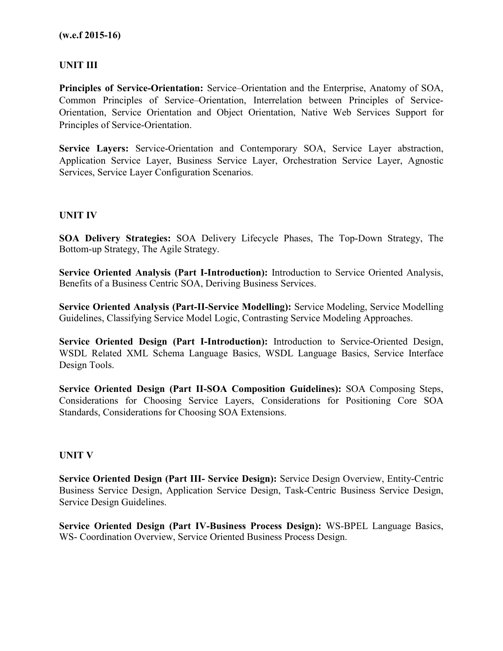## **UNIT III**

**Principles of Service-Orientation:** Service–Orientation and the Enterprise, Anatomy of SOA, Common Principles of Service–Orientation, Interrelation between Principles of Service-Orientation, Service Orientation and Object Orientation, Native Web Services Support for Principles of Service-Orientation.

**Service Layers:** Service-Orientation and Contemporary SOA, Service Layer abstraction, Application Service Layer, Business Service Layer, Orchestration Service Layer, Agnostic Services, Service Layer Configuration Scenarios.

#### **UNIT IV**

**SOA Delivery Strategies:** SOA Delivery Lifecycle Phases, The Top-Down Strategy, The Bottom-up Strategy, The Agile Strategy.

**Service Oriented Analysis (Part I-Introduction):** Introduction to Service Oriented Analysis, Benefits of a Business Centric SOA, Deriving Business Services.

**Service Oriented Analysis (Part-II-Service Modelling):** Service Modeling, Service Modelling Guidelines, Classifying Service Model Logic, Contrasting Service Modeling Approaches.

**Service Oriented Design (Part I-Introduction):** Introduction to Service-Oriented Design, WSDL Related XML Schema Language Basics, WSDL Language Basics, Service Interface Design Tools.

**Service Oriented Design (Part II-SOA Composition Guidelines):** SOA Composing Steps, Considerations for Choosing Service Layers, Considerations for Positioning Core SOA Standards, Considerations for Choosing SOA Extensions.

#### **UNIT V**

**Service Oriented Design (Part III- Service Design):** Service Design Overview, Entity-Centric Business Service Design, Application Service Design, Task-Centric Business Service Design, Service Design Guidelines.

**Service Oriented Design (Part IV-Business Process Design):** WS-BPEL Language Basics, WS- Coordination Overview, Service Oriented Business Process Design.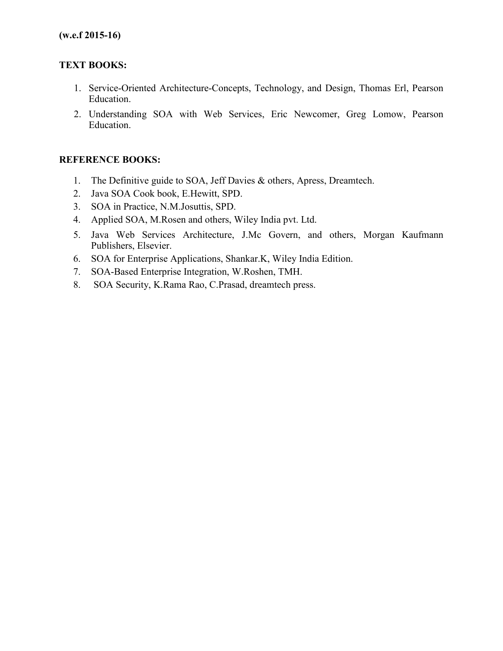## **TEXT BOOKS:**

- 1. Service-Oriented Architecture-Concepts, Technology, and Design, Thomas Erl, Pearson Education.
- 2. Understanding SOA with Web Services, Eric Newcomer, Greg Lomow, Pearson Education.

## **REFERENCE BOOKS:**

- 1. The Definitive guide to SOA, Jeff Davies & others, Apress, Dreamtech.
- 2. Java SOA Cook book, E.Hewitt, SPD.
- 3. SOA in Practice, N.M.Josuttis, SPD.
- 4. Applied SOA, M.Rosen and others, Wiley India pvt. Ltd.
- 5. Java Web Services Architecture, J.Mc Govern, and others, Morgan Kaufmann Publishers, Elsevier.
- 6. SOA for Enterprise Applications, Shankar.K, Wiley India Edition.
- 7. SOA-Based Enterprise Integration, W.Roshen, TMH.
- 8. SOA Security, K.Rama Rao, C.Prasad, dreamtech press.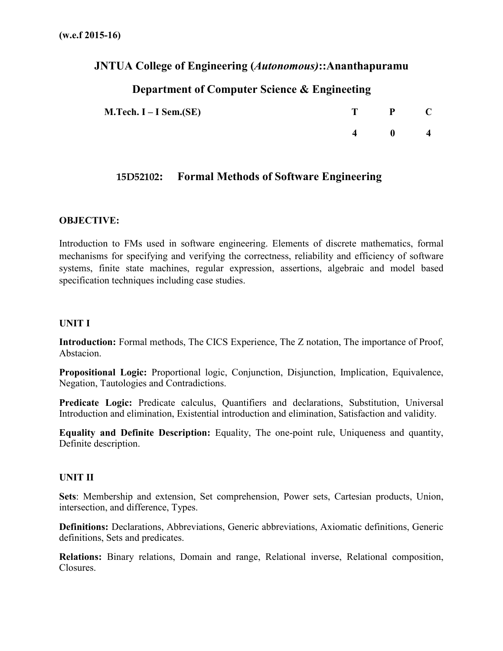# **JNTUA College of Engineering (***Autonomous)***::Ananthapuramu**

# **Department of Computer Science & Engineeting**

| $M.Tech. I-I Sem.(SE)$ | $\mathbf{P}$ |   |
|------------------------|--------------|---|
|                        | - 0          | 4 |

## **15D52102: Formal Methods of Software Engineering**

## **OBJECTIVE:**

Introduction to FMs used in software engineering. Elements of discrete mathematics, formal mechanisms for specifying and verifying the correctness, reliability and efficiency of software systems, finite state machines, regular expression, assertions, algebraic and model based specification techniques including case studies.

### **UNIT I**

**Introduction:** Formal methods, The CICS Experience, The Z notation, The importance of Proof, Abstacion.

**Propositional Logic:** Proportional logic, Conjunction, Disjunction, Implication, Equivalence, Negation, Tautologies and Contradictions.

Predicate Logic: Predicate calculus, Quantifiers and declarations, Substitution, Universal Introduction and elimination, Existential introduction and elimination, Satisfaction and validity.

**Equality and Definite Description:** Equality, The one-point rule, Uniqueness and quantity, Definite description.

#### **UNIT II**

**Sets**: Membership and extension, Set comprehension, Power sets, Cartesian products, Union, intersection, and difference, Types.

**Definitions:** Declarations, Abbreviations, Generic abbreviations, Axiomatic definitions, Generic definitions, Sets and predicates.

**Relations:** Binary relations, Domain and range, Relational inverse, Relational composition, Closures.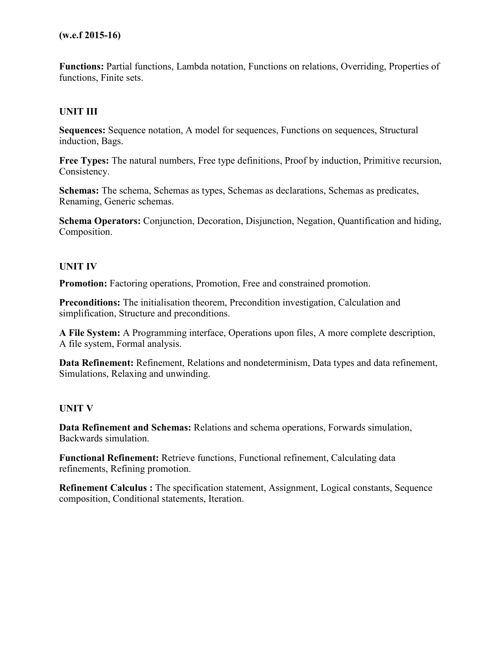**Functions:** Partial functions, Lambda notation, Functions on relations, Overriding, Properties of functions, Finite sets.

## **UNIT III**

**Sequences:** Sequence notation, A model for sequences, Functions on sequences, Structural induction, Bags.

**Free Types:** The natural numbers, Free type definitions, Proof by induction, Primitive recursion, Consistency.

**Schemas:** The schema, Schemas as types, Schemas as declarations, Schemas as predicates, Renaming, Generic schemas.

**Schema Operators:** Conjunction, Decoration, Disjunction, Negation, Quantification and hiding, Composition.

#### **UNIT IV**

**Promotion:** Factoring operations, Promotion, Free and constrained promotion.

**Preconditions:** The initialisation theorem, Precondition investigation, Calculation and simplification, Structure and preconditions.

**A File System:** A Programming interface, Operations upon files, A more complete description, A file system, Formal analysis.

**Data Refinement:** Refinement, Relations and nondeterminism, Data types and data refinement, Simulations, Relaxing and unwinding.

#### **UNIT V**

**Data Refinement and Schemas:** Relations and schema operations, Forwards simulation, Backwards simulation.

**Functional Refinement:** Retrieve functions, Functional refinement, Calculating data refinements, Refining promotion.

**Refinement Calculus :** The specification statement, Assignment, Logical constants, Sequence composition, Conditional statements, Iteration.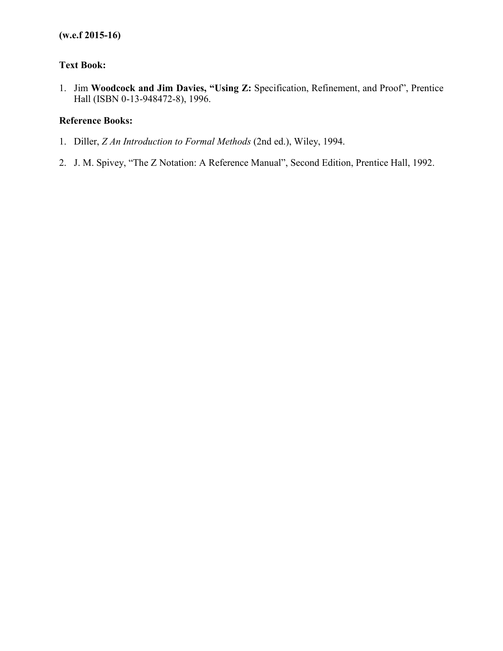## **Text Book:**

1. Jim **Woodcock and Jim Davies, "Using Z:** Specification, Refinement, and Proof", Prentice Hall (ISBN 0-13-948472-8), 1996.

## **Reference Books:**

- 1. Diller, *Z An Introduction to Formal Methods* (2nd ed.), Wiley, 1994.
- 2. J. M. Spivey, "The Z Notation: A Reference Manual", Second Edition, Prentice Hall, 1992.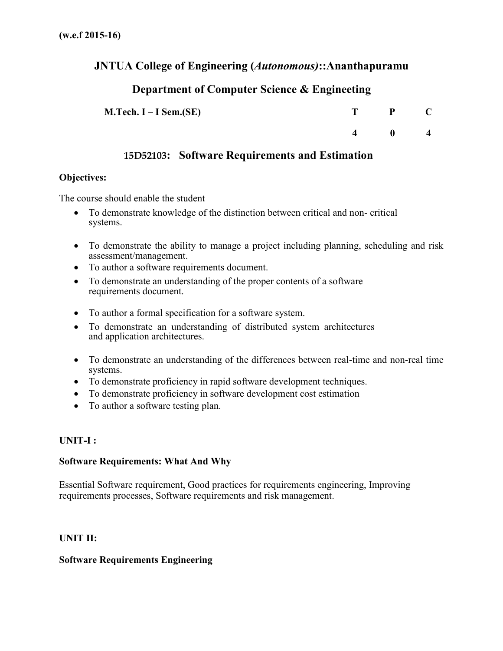## **JNTUA College of Engineering (***Autonomous)***::Ananthapuramu**

# **Department of Computer Science & Engineeting**

| M.Tech. $I - I$ Sem.(SE) |                    | $\mathbf{P}$ |                         |
|--------------------------|--------------------|--------------|-------------------------|
|                          | $\mathbf{\Lambda}$ | - 0          | $\overline{\mathbf{4}}$ |

# **15D52103: Software Requirements and Estimation**

### **Objectives:**

The course should enable the student

- To demonstrate knowledge of the distinction between critical and non- critical systems.
- To demonstrate the ability to manage a project including planning, scheduling and risk assessment/management.
- To author a software requirements document.
- To demonstrate an understanding of the proper contents of a software requirements document.
- To author a formal specification for a software system.
- To demonstrate an understanding of distributed system architectures and application architectures.
- To demonstrate an understanding of the differences between real-time and non-real time systems.
- To demonstrate proficiency in rapid software development techniques.
- To demonstrate proficiency in software development cost estimation
- To author a software testing plan.

## **UNIT-I :**

## **Software Requirements: What And Why**

Essential Software requirement, Good practices for requirements engineering, Improving requirements processes, Software requirements and risk management.

## **UNIT II:**

# **Software Requirements Engineering**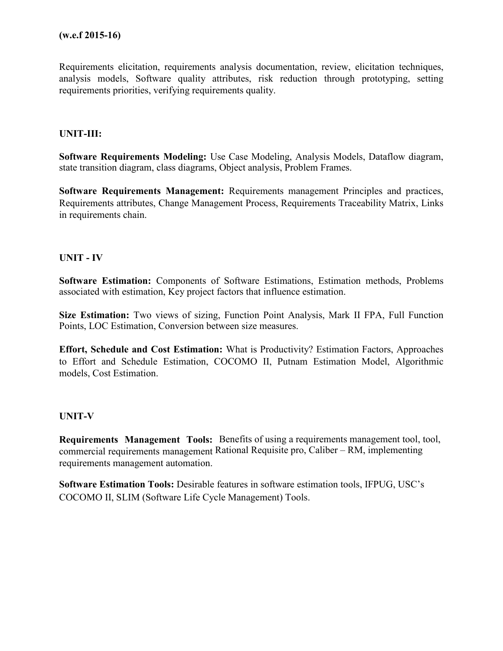Requirements elicitation, requirements analysis documentation, review, elicitation techniques, analysis models, Software quality attributes, risk reduction through prototyping, setting requirements priorities, verifying requirements quality.

#### **UNIT-III:**

**Software Requirements Modeling:** Use Case Modeling, Analysis Models, Dataflow diagram, state transition diagram, class diagrams, Object analysis, Problem Frames.

**Software Requirements Management:** Requirements management Principles and practices, Requirements attributes, Change Management Process, Requirements Traceability Matrix, Links in requirements chain.

#### **UNIT - IV**

**Software Estimation:** Components of Software Estimations, Estimation methods, Problems associated with estimation, Key project factors that influence estimation.

**Size Estimation:** Two views of sizing, Function Point Analysis, Mark II FPA, Full Function Points, LOC Estimation, Conversion between size measures.

**Effort, Schedule and Cost Estimation:** What is Productivity? Estimation Factors, Approaches to Effort and Schedule Estimation, COCOMO II, Putnam Estimation Model, Algorithmic models, Cost Estimation.

## **UNIT-V**

Requirements Management Tools: Benefits of using a requirements management tool, tool, commercial requirements management Rational Requisite pro, Caliber – RM, implementing requirements management automation.

**Software Estimation Tools:** Desirable features in software estimation tools, IFPUG, USC's COCOMO II, SLIM (Software Life Cycle Management) Tools.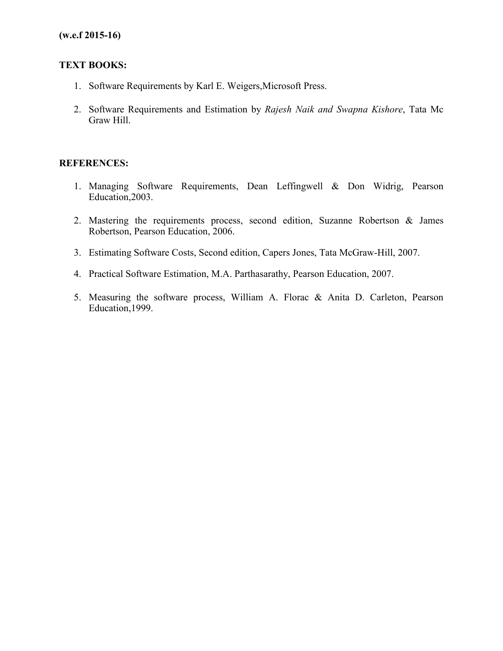## **TEXT BOOKS:**

- 1. Software Requirements by Karl E. Weigers,Microsoft Press.
- 2. Software Requirements and Estimation by *Rajesh Naik and Swapna Kishore*, Tata Mc Graw Hill.

## **REFERENCES:**

- 1. Managing Software Requirements, Dean Leffingwell & Don Widrig, Pearson Education,2003.
- 2. Mastering the requirements process, second edition, Suzanne Robertson & James Robertson, Pearson Education, 2006.
- 3. Estimating Software Costs, Second edition, Capers Jones, Tata McGraw-Hill, 2007.
- 4. Practical Software Estimation, M.A. Parthasarathy, Pearson Education, 2007.
- 5. Measuring the software process, William A. Florac & Anita D. Carleton, Pearson Education,1999.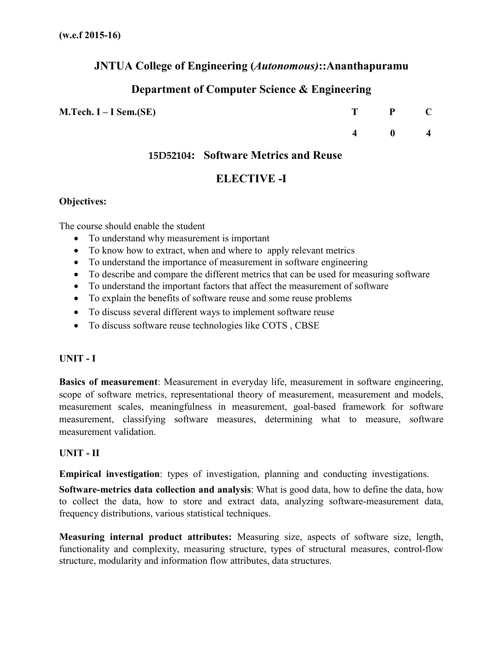## **JNTUA College of Engineering (***Autonomous)***::Ananthapuramu**

# **Department of Computer Science & Engineering**

### **M.Tech. I – I Sem.(SE)**

| T | P | Ú |
|---|---|---|
| 4 | 0 | 4 |

## **15D52104: Software Metrics and Reuse**

## **ELECTIVE -I**

## **Objectives:**

The course should enable the student

- To understand why measurement is important
- To know how to extract, when and where to apply relevant metrics
- To understand the importance of measurement in software engineering
- To describe and compare the different metrics that can be used for measuring software
- To understand the important factors that affect the measurement of software
- To explain the benefits of software reuse and some reuse problems
- To discuss several different ways to implement software reuse
- To discuss software reuse technologies like COTS , CBSE

## **UNIT - I**

**Basics of measurement**: Measurement in everyday life, measurement in software engineering, scope of software metrics, representational theory of measurement, measurement and models, measurement scales, meaningfulness in measurement, goal-based framework for software measurement, classifying software measures, determining what to measure, software measurement validation.

## **UNIT - II**

**Empirical investigation**: types of investigation, planning and conducting investigations.

**Software-metrics data collection and analysis**: What is good data, how to define the data, how to collect the data, how to store and extract data, analyzing software-measurement data, frequency distributions, various statistical techniques.

**Measuring internal product attributes:** Measuring size, aspects of software size, length, functionality and complexity, measuring structure, types of structural measures, control-flow structure, modularity and information flow attributes, data structures.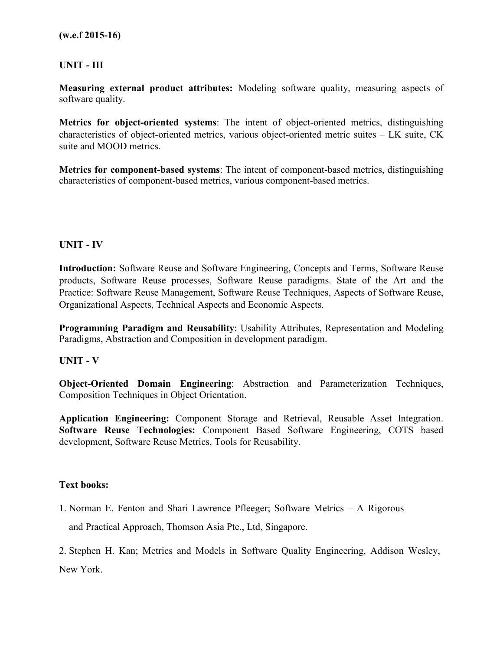## **UNIT - III**

**Measuring external product attributes:** Modeling software quality, measuring aspects of software quality.

**Metrics for object-oriented systems**: The intent of object-oriented metrics, distinguishing characteristics of object-oriented metrics, various object-oriented metric suites – LK suite, CK suite and MOOD metrics.

**Metrics for component-based systems**: The intent of component-based metrics, distinguishing characteristics of component-based metrics, various component-based metrics.

### **UNIT - IV**

**Introduction:** Software Reuse and Software Engineering, Concepts and Terms, Software Reuse products, Software Reuse processes, Software Reuse paradigms. State of the Art and the Practice: Software Reuse Management, Software Reuse Techniques, Aspects of Software Reuse, Organizational Aspects, Technical Aspects and Economic Aspects.

**Programming Paradigm and Reusability**: Usability Attributes, Representation and Modeling Paradigms, Abstraction and Composition in development paradigm.

#### **UNIT - V**

**Object-Oriented Domain Engineering**: Abstraction and Parameterization Techniques, Composition Techniques in Object Orientation.

**Application Engineering:** Component Storage and Retrieval, Reusable Asset Integration. **Software Reuse Technologies:** Component Based Software Engineering, COTS based development, Software Reuse Metrics, Tools for Reusability.

#### **Text books:**

1. Norman E. Fenton and Shari Lawrence Pfleeger; Software Metrics – A Rigorous and Practical Approach, Thomson Asia Pte., Ltd, Singapore.

2. Stephen H. Kan; Metrics and Models in Software Quality Engineering, Addison Wesley, New York.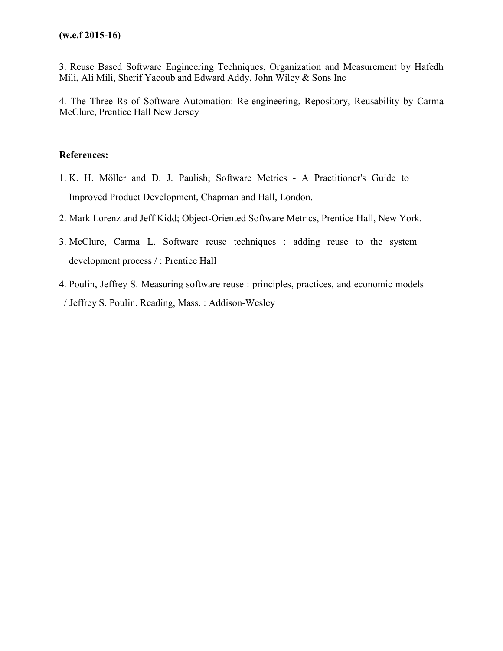3. Reuse Based Software Engineering Techniques, Organization and Measurement by Hafedh Mili, Ali Mili, Sherif Yacoub and Edward Addy, John Wiley & Sons Inc

4. The Three Rs of Software Automation: Re-engineering, Repository, Reusability by Carma McClure, Prentice Hall New Jersey

### **References:**

- 1. K. H. Möller and D. J. Paulish; Software Metrics A Practitioner's Guide to Improved Product Development, Chapman and Hall, London.
- 2. Mark Lorenz and Jeff Kidd; Object-Oriented Software Metrics, Prentice Hall, New York.
- 3. McClure, Carma L. Software reuse techniques : adding reuse to the system development process / : Prentice Hall
- 4. Poulin, Jeffrey S. Measuring software reuse : principles, practices, and economic models / Jeffrey S. Poulin. Reading, Mass. : Addison-Wesley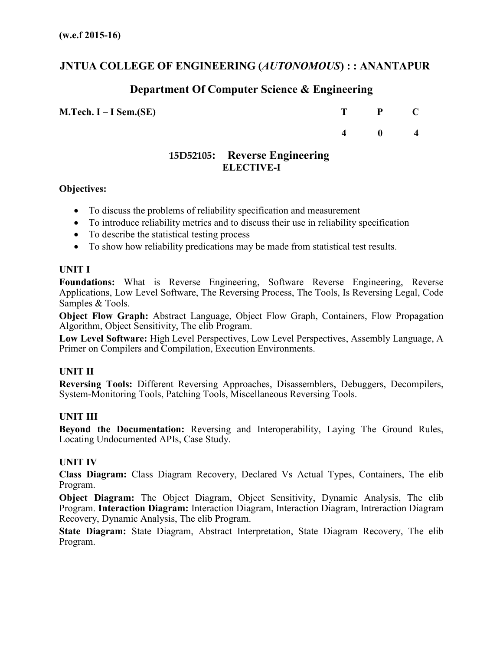## **JNTUA COLLEGE OF ENGINEERING (***AUTONOMOUS***) : : ANANTAPUR**

## **Department Of Computer Science & Engineering**

**M.Tech. I – I Sem.(SE) T P C**

**4 0 4**

## **15D52105: Reverse Engineering ELECTIVE-I**

#### **Objectives:**

- To discuss the problems of reliability specification and measurement
- To introduce reliability metrics and to discuss their use in reliability specification
- To describe the statistical testing process
- To show how reliability predications may be made from statistical test results.

### **UNIT I**

**Foundations:** What is Reverse Engineering, Software Reverse Engineering, Reverse Applications, Low Level Software, The Reversing Process, The Tools, Is Reversing Legal, Code Samples & Tools.

**Object Flow Graph:** Abstract Language, Object Flow Graph, Containers, Flow Propagation Algorithm, Object Sensitivity, The elib Program.

**Low Level Software:** High Level Perspectives, Low Level Perspectives, Assembly Language, A Primer on Compilers and Compilation, Execution Environments.

#### **UNIT II**

**Reversing Tools:** Different Reversing Approaches, Disassemblers, Debuggers, Decompilers, System-Monitoring Tools, Patching Tools, Miscellaneous Reversing Tools.

#### **UNIT III**

**Beyond the Documentation:** Reversing and Interoperability, Laying The Ground Rules, Locating Undocumented APIs, Case Study.

#### **UNIT IV**

**Class Diagram:** Class Diagram Recovery, Declared Vs Actual Types, Containers, The elib Program.

**Object Diagram:** The Object Diagram, Object Sensitivity, Dynamic Analysis, The elib Program. **Interaction Diagram:** Interaction Diagram, Interaction Diagram, Intreraction Diagram Recovery, Dynamic Analysis, The elib Program.

**State Diagram:** State Diagram, Abstract Interpretation, State Diagram Recovery, The elib Program.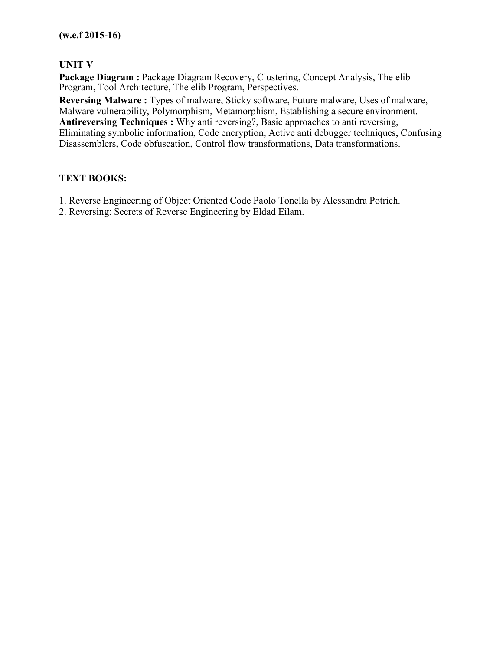## **UNIT V**

Package Diagram : Package Diagram Recovery, Clustering, Concept Analysis, The elib Program, Tool Architecture, The elib Program, Perspectives.

**Reversing Malware :** Types of malware, Sticky software, Future malware, Uses of malware, Malware vulnerability, Polymorphism, Metamorphism, Establishing a secure environment. **Antireversing Techniques :** Why anti reversing?, Basic approaches to anti reversing, Eliminating symbolic information, Code encryption, Active anti debugger techniques, Confusing Disassemblers, Code obfuscation, Control flow transformations, Data transformations.

## **TEXT BOOKS:**

- 1. Reverse Engineering of Object Oriented Code Paolo Tonella by Alessandra Potrich.
- 2. Reversing: Secrets of Reverse Engineering by Eldad Eilam.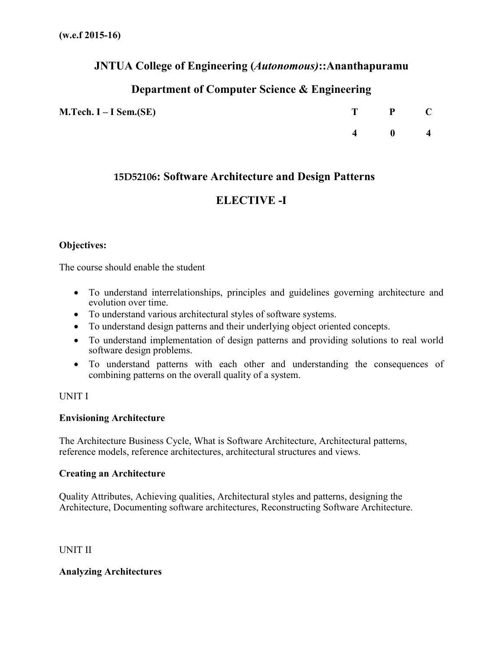## **JNTUA College of Engineering (***Autonomous)***::Ananthapuramu**

# **Department of Computer Science & Engineering**

| $M.Tech. I-I Sem.(SE)$ | T P C         |  |
|------------------------|---------------|--|
|                        | $4 \t 0 \t 4$ |  |

## **15D52106: Software Architecture and Design Patterns**

# **ELECTIVE -I**

## **Objectives:**

The course should enable the student

- To understand interrelationships, principles and guidelines governing architecture and evolution over time.
- To understand various architectural styles of software systems.
- To understand design patterns and their underlying object oriented concepts.
- To understand implementation of design patterns and providing solutions to real world software design problems.
- To understand patterns with each other and understanding the consequences of combining patterns on the overall quality of a system.

## UNIT I

## **Envisioning Architecture**

The Architecture Business Cycle, What is Software Architecture, Architectural patterns, reference models, reference architectures, architectural structures and views.

## **Creating an Architecture**

Quality Attributes, Achieving qualities, Architectural styles and patterns, designing the Architecture, Documenting software architectures, Reconstructing Software Architecture.

UNIT II

## **Analyzing Architectures**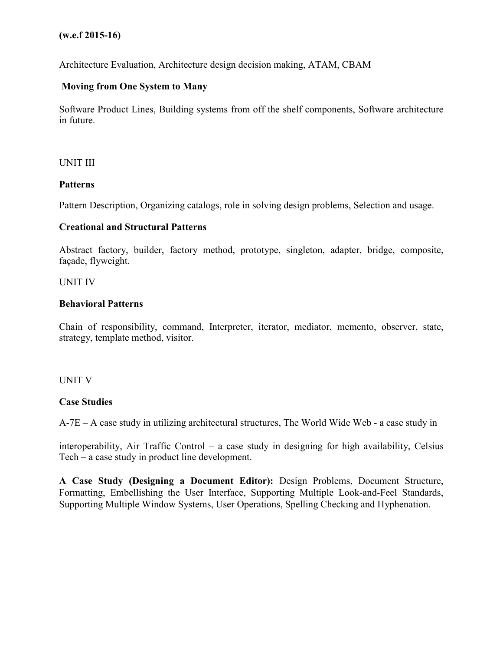Architecture Evaluation, Architecture design decision making, ATAM, CBAM

### **Moving from One System to Many**

Software Product Lines, Building systems from off the shelf components, Software architecture in future.

#### UNIT III

#### **Patterns**

Pattern Description, Organizing catalogs, role in solving design problems, Selection and usage.

#### **Creational and Structural Patterns**

Abstract factory, builder, factory method, prototype, singleton, adapter, bridge, composite, façade, flyweight.

#### UNIT IV

#### **Behavioral Patterns**

Chain of responsibility, command, Interpreter, iterator, mediator, memento, observer, state, strategy, template method, visitor.

#### UNIT V

#### **Case Studies**

A-7E – A case study in utilizing architectural structures, The World Wide Web - a case study in

interoperability, Air Traffic Control – a case study in designing for high availability, Celsius Tech – a case study in product line development.

**A Case Study (Designing a Document Editor):** Design Problems, Document Structure, Formatting, Embellishing the User Interface, Supporting Multiple Look-and-Feel Standards, Supporting Multiple Window Systems, User Operations, Spelling Checking and Hyphenation.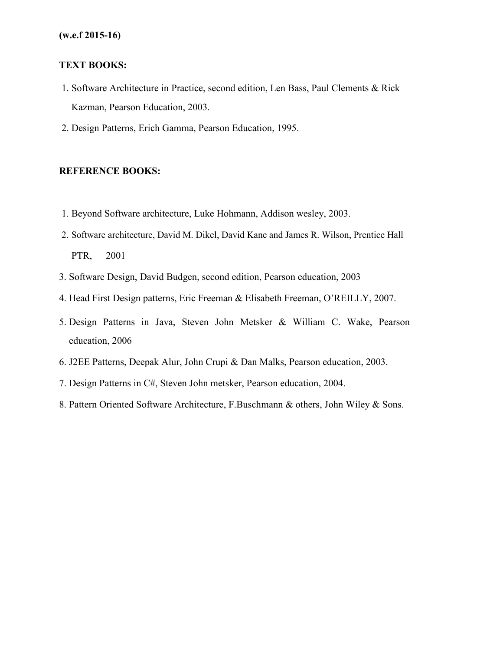### **TEXT BOOKS:**

- 1. Software Architecture in Practice, second edition, Len Bass, Paul Clements & Rick Kazman, Pearson Education, 2003.
- 2. Design Patterns, Erich Gamma, Pearson Education, 1995.

#### **REFERENCE BOOKS:**

- 1. Beyond Software architecture, Luke Hohmann, Addison wesley, 2003.
- 2. Software architecture, David M. Dikel, David Kane and James R. Wilson, Prentice Hall PTR, 2001
- 3. Software Design, David Budgen, second edition, Pearson education, 2003
- 4. Head First Design patterns, Eric Freeman & Elisabeth Freeman, O'REILLY, 2007.
- 5. Design Patterns in Java, Steven John Metsker & William C. Wake, Pearson education, 2006
- 6. J2EE Patterns, Deepak Alur, John Crupi & Dan Malks, Pearson education, 2003.
- 7. Design Patterns in C#, Steven John metsker, Pearson education, 2004.
- 8. Pattern Oriented Software Architecture, F.Buschmann & others, John Wiley & Sons.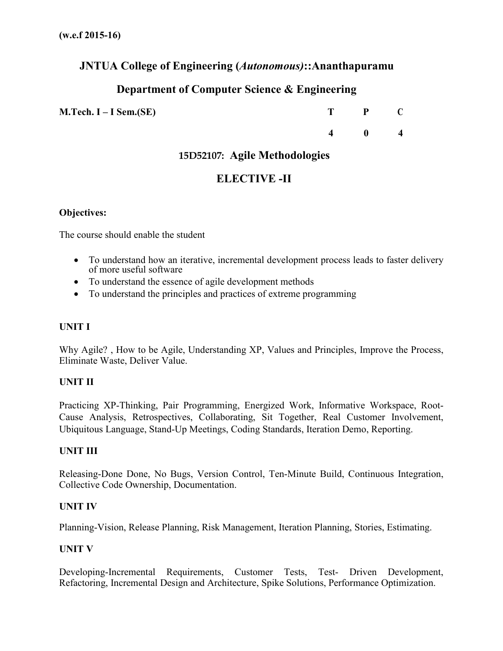## **JNTUA College of Engineering (***Autonomous)***::Ananthapuramu**

# **Department of Computer Science & Engineering**

**M.Tech. I – I Sem.(SE) T P C**

**4 0 4**

## **15D52107: Agile Methodologies**

## **ELECTIVE -II**

#### **Objectives:**

The course should enable the student

- To understand how an iterative, incremental development process leads to faster delivery of more useful software
- To understand the essence of agile development methods
- To understand the principles and practices of extreme programming

### **UNIT I**

Why Agile? , How to be Agile, Understanding XP, Values and Principles, Improve the Process, Eliminate Waste, Deliver Value.

#### **UNIT II**

Practicing XP-Thinking, Pair Programming, Energized Work, Informative Workspace, Root-Cause Analysis, Retrospectives, Collaborating, Sit Together, Real Customer Involvement, Ubiquitous Language, Stand-Up Meetings, Coding Standards, Iteration Demo, Reporting.

#### **UNIT III**

Releasing-Done Done, No Bugs, Version Control, Ten-Minute Build, Continuous Integration, Collective Code Ownership, Documentation.

#### **UNIT IV**

Planning-Vision, Release Planning, Risk Management, Iteration Planning, Stories, Estimating.

#### **UNIT V**

Developing-Incremental Requirements, Customer Tests, Test- Driven Development, Refactoring, Incremental Design and Architecture, Spike Solutions, Performance Optimization.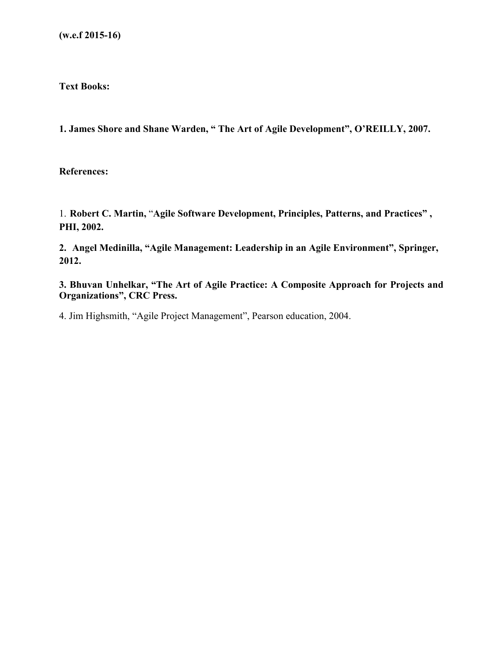**Text Books:**

**1. James Shore and Shane Warden, " The Art of Agile Development", O'REILLY, 2007.**

**References:**

1. **Robert C. Martin,** "**Agile Software Development, Principles, Patterns, and Practices" , PHI, 2002.** 

**2. Angel Medinilla, "Agile Management: Leadership in an Agile Environment", Springer, 2012.** 

**3. Bhuvan Unhelkar, "The Art of Agile Practice: A Composite Approach for Projects and Organizations", CRC Press.** 

4. Jim Highsmith, "Agile Project Management", Pearson education, 2004.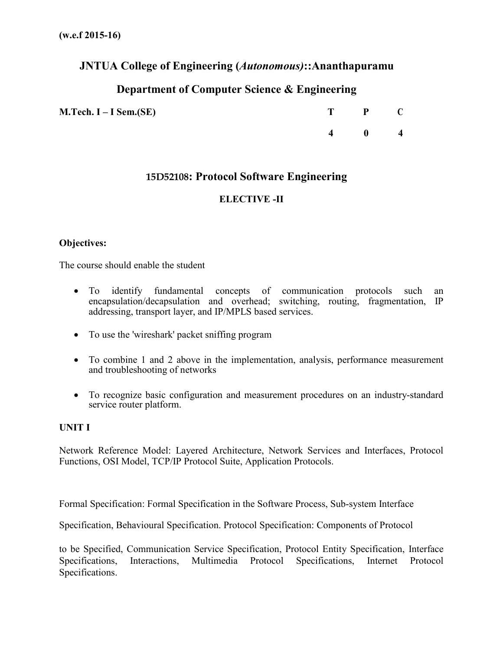## **JNTUA College of Engineering (***Autonomous)***::Ananthapuramu**

# **Department of Computer Science & Engineering**

**M.Tech. I – I Sem.(SE) T P C**

**4 0 4**

## **15D52108: Protocol Software Engineering**

## **ELECTIVE -II**

### **Objectives:**

The course should enable the student

- To identify fundamental concepts of communication protocols such an encapsulation/decapsulation and overhead; switching, routing, fragmentation, IP addressing, transport layer, and IP/MPLS based services.
- To use the 'wireshark' packet sniffing program
- To combine 1 and 2 above in the implementation, analysis, performance measurement and troubleshooting of networks
- To recognize basic configuration and measurement procedures on an industry-standard service router platform.

#### **UNIT I**

Network Reference Model: Layered Architecture, Network Services and Interfaces, Protocol Functions, OSI Model, TCP/IP Protocol Suite, Application Protocols.

Formal Specification: Formal Specification in the Software Process, Sub-system Interface

Specification, Behavioural Specification. Protocol Specification: Components of Protocol

to be Specified, Communication Service Specification, Protocol Entity Specification, Interface Specifications, Interactions, Multimedia Protocol Specifications, Internet Protocol Specifications.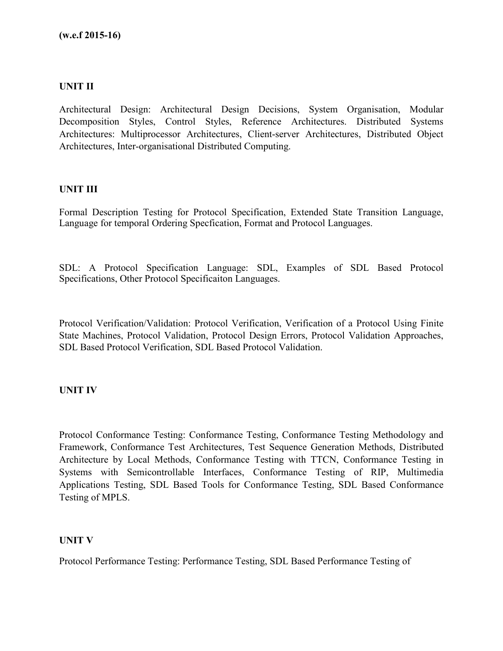## **UNIT II**

Architectural Design: Architectural Design Decisions, System Organisation, Modular Decomposition Styles, Control Styles, Reference Architectures. Distributed Systems Architectures: Multiprocessor Architectures, Client-server Architectures, Distributed Object Architectures, Inter-organisational Distributed Computing.

#### **UNIT III**

Formal Description Testing for Protocol Specification, Extended State Transition Language, Language for temporal Ordering Specfication, Format and Protocol Languages.

SDL: A Protocol Specification Language: SDL, Examples of SDL Based Protocol Specifications, Other Protocol Specificaiton Languages.

Protocol Verification/Validation: Protocol Verification, Verification of a Protocol Using Finite State Machines, Protocol Validation, Protocol Design Errors, Protocol Validation Approaches, SDL Based Protocol Verification, SDL Based Protocol Validation.

#### **UNIT IV**

Protocol Conformance Testing: Conformance Testing, Conformance Testing Methodology and Framework, Conformance Test Architectures, Test Sequence Generation Methods, Distributed Architecture by Local Methods, Conformance Testing with TTCN, Conformance Testing in Systems with Semicontrollable Interfaces, Conformance Testing of RIP, Multimedia Applications Testing, SDL Based Tools for Conformance Testing, SDL Based Conformance Testing of MPLS.

#### **UNIT V**

Protocol Performance Testing: Performance Testing, SDL Based Performance Testing of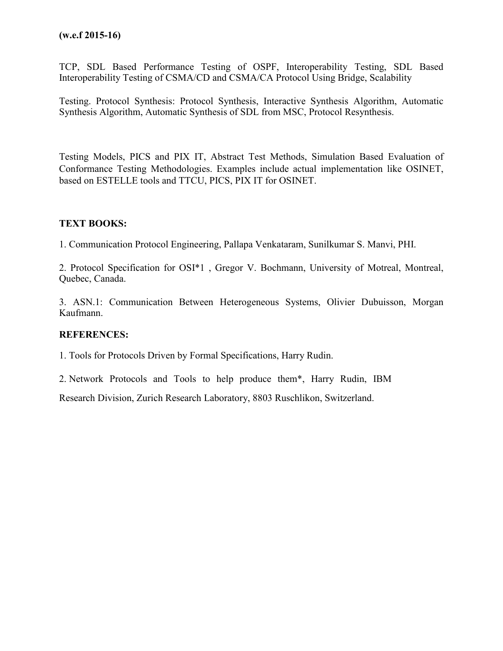TCP, SDL Based Performance Testing of OSPF, Interoperability Testing, SDL Based Interoperability Testing of CSMA/CD and CSMA/CA Protocol Using Bridge, Scalability

Testing. Protocol Synthesis: Protocol Synthesis, Interactive Synthesis Algorithm, Automatic Synthesis Algorithm, Automatic Synthesis of SDL from MSC, Protocol Resynthesis.

Testing Models, PICS and PIX IT, Abstract Test Methods, Simulation Based Evaluation of Conformance Testing Methodologies. Examples include actual implementation like OSINET, based on ESTELLE tools and TTCU, PICS, PIX IT for OSINET.

## **TEXT BOOKS:**

1. Communication Protocol Engineering, Pallapa Venkataram, Sunilkumar S. Manvi, PHI.

2. Protocol Specification for OSI\*1 , Gregor V. Bochmann, University of Motreal, Montreal, Quebec, Canada.

3. ASN.1: Communication Between Heterogeneous Systems, Olivier Dubuisson, Morgan Kaufmann.

## **REFERENCES:**

1. Tools for Protocols Driven by Formal Specifications, Harry Rudin.

2. Network Protocols and Tools to help produce them\*, Harry Rudin, IBM

Research Division, Zurich Research Laboratory, 8803 Ruschlikon, Switzerland.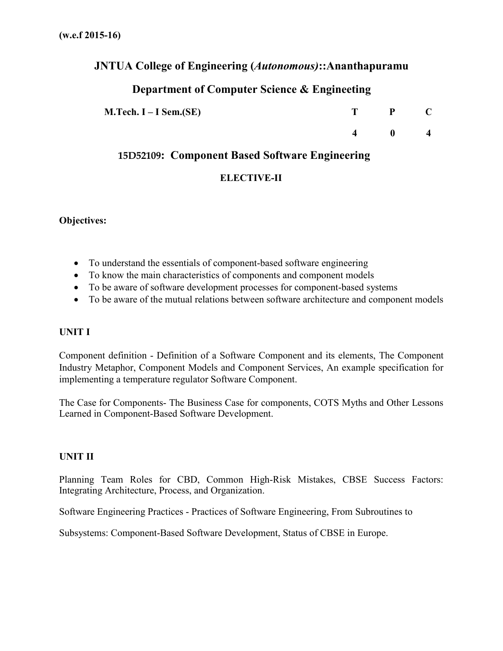## **JNTUA College of Engineering (***Autonomous)***::Ananthapuramu**

# **Department of Computer Science & Engineeting**

| <b>M.Tech. I – I Sem.(SE)</b> | P. |  |
|-------------------------------|----|--|
|                               |    |  |

## **15D52109: Component Based Software Engineering**

## **ELECTIVE-II**

**Objectives:**

- To understand the essentials of component-based software engineering
- To know the main characteristics of components and component models
- To be aware of software development processes for component-based systems
- To be aware of the mutual relations between software architecture and component models

## **UNIT I**

Component definition - Definition of a Software Component and its elements, The Component Industry Metaphor, Component Models and Component Services, An example specification for implementing a temperature regulator Software Component.

The Case for Components- The Business Case for components, COTS Myths and Other Lessons Learned in Component-Based Software Development.

## **UNIT II**

Planning Team Roles for CBD, Common High-Risk Mistakes, CBSE Success Factors: Integrating Architecture, Process, and Organization.

Software Engineering Practices - Practices of Software Engineering, From Subroutines to

Subsystems: Component-Based Software Development, Status of CBSE in Europe.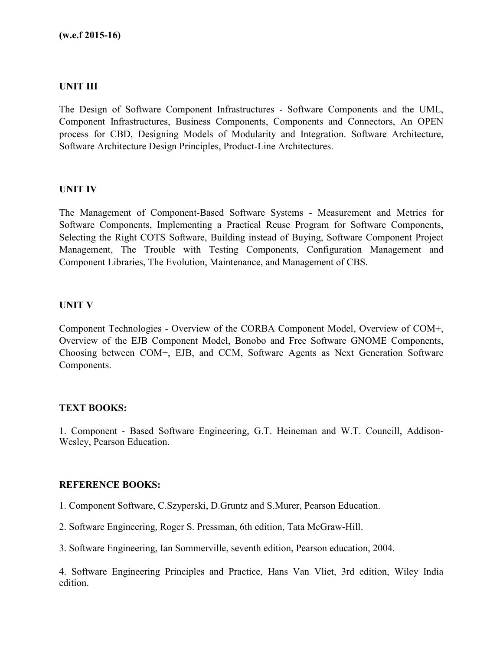#### **UNIT III**

The Design of Software Component Infrastructures - Software Components and the UML, Component Infrastructures, Business Components, Components and Connectors, An OPEN process for CBD, Designing Models of Modularity and Integration. Software Architecture, Software Architecture Design Principles, Product-Line Architectures.

#### **UNIT IV**

The Management of Component-Based Software Systems - Measurement and Metrics for Software Components, Implementing a Practical Reuse Program for Software Components, Selecting the Right COTS Software, Building instead of Buying, Software Component Project Management, The Trouble with Testing Components, Configuration Management and Component Libraries, The Evolution, Maintenance, and Management of CBS.

#### **UNIT V**

Component Technologies - Overview of the CORBA Component Model, Overview of COM+, Overview of the EJB Component Model, Bonobo and Free Software GNOME Components, Choosing between COM+, EJB, and CCM, Software Agents as Next Generation Software Components.

#### **TEXT BOOKS:**

1. Component - Based Software Engineering, G.T. Heineman and W.T. Councill, Addison-Wesley, Pearson Education.

#### **REFERENCE BOOKS:**

1. Component Software, C.Szyperski, D.Gruntz and S.Murer, Pearson Education.

2. Software Engineering, Roger S. Pressman, 6th edition, Tata McGraw-Hill.

3. Software Engineering, Ian Sommerville, seventh edition, Pearson education, 2004.

4. Software Engineering Principles and Practice, Hans Van Vliet, 3rd edition, Wiley India edition.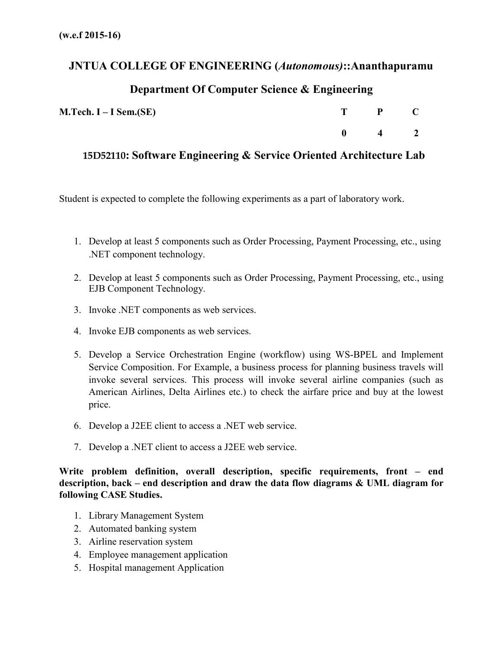# **JNTUA COLLEGE OF ENGINEERING (***Autonomous)***::Ananthapuramu**

# **Department Of Computer Science & Engineering**

| $M.Tech. I-I Sem.(SE)$ | T P C                 |  |
|------------------------|-----------------------|--|
|                        | $0 \qquad 4 \qquad 2$ |  |

# **15D52110: Software Engineering & Service Oriented Architecture Lab**

Student is expected to complete the following experiments as a part of laboratory work.

- 1. Develop at least 5 components such as Order Processing, Payment Processing, etc., using .NET component technology.
- 2. Develop at least 5 components such as Order Processing, Payment Processing, etc., using EJB Component Technology.
- 3. Invoke .NET components as web services.
- 4. Invoke EJB components as web services.
- 5. Develop a Service Orchestration Engine (workflow) using WS-BPEL and Implement Service Composition. For Example, a business process for planning business travels will invoke several services. This process will invoke several airline companies (such as American Airlines, Delta Airlines etc.) to check the airfare price and buy at the lowest price.
- 6. Develop a J2EE client to access a .NET web service.
- 7. Develop a .NET client to access a J2EE web service.

**Write problem definition, overall description, specific requirements, front – end description, back – end description and draw the data flow diagrams & UML diagram for following CASE Studies.**

- 1. Library Management System
- 2. Automated banking system
- 3. Airline reservation system
- 4. Employee management application
- 5. Hospital management Application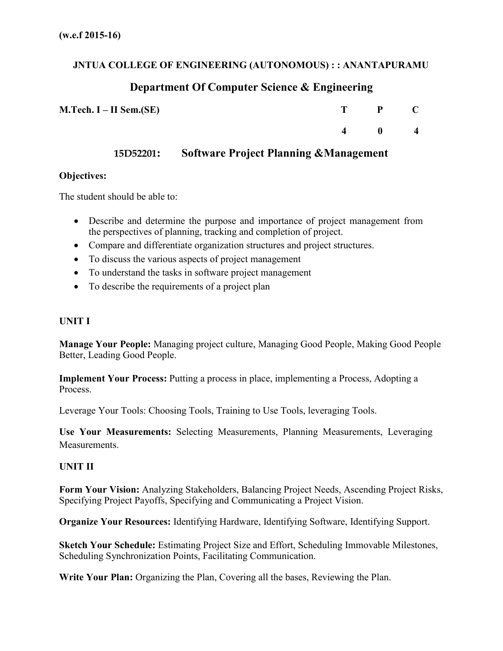## **JNTUA COLLEGE OF ENGINEERING (AUTONOMOUS) : : ANANTAPURAMU**

# **Department Of Computer Science & Engineering**

| $M.Tech. I-II Sem.(SE)$ |                | T P C        |                |
|-------------------------|----------------|--------------|----------------|
|                         | $\overline{4}$ | $\mathbf{0}$ | $\overline{4}$ |

## **15D52201: Software Project Planning &Management**

## **Objectives:**

The student should be able to:

- Describe and determine the purpose and importance of project management from the perspectives of planning, tracking and completion of project.
- Compare and differentiate organization structures and project structures.
- To discuss the various aspects of project management
- To understand the tasks in software project management
- To describe the requirements of a project plan

## **UNIT I**

**Manage Your People:** Managing project culture, Managing Good People, Making Good People Better, Leading Good People.

**Implement Your Process:** Putting a process in place, implementing a Process, Adopting a Process.

Leverage Your Tools: Choosing Tools, Training to Use Tools, leveraging Tools.

**Use Your Measurements:** Selecting Measurements, Planning Measurements, Leveraging Measurements.

## **UNIT II**

**Form Your Vision:** Analyzing Stakeholders, Balancing Project Needs, Ascending Project Risks, Specifying Project Payoffs, Specifying and Communicating a Project Vision.

**Organize Your Resources:** Identifying Hardware, Identifying Software, Identifying Support.

**Sketch Your Schedule:** Estimating Project Size and Effort, Scheduling Immovable Milestones, Scheduling Synchronization Points, Facilitating Communication.

**Write Your Plan:** Organizing the Plan, Covering all the bases, Reviewing the Plan.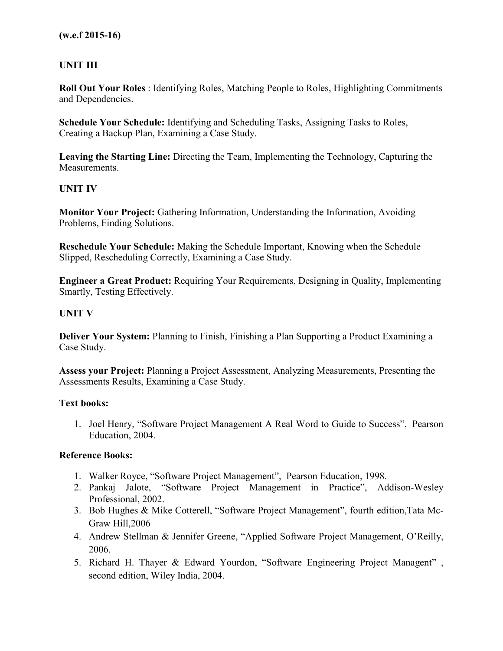## **UNIT III**

**Roll Out Your Roles** : Identifying Roles, Matching People to Roles, Highlighting Commitments and Dependencies.

**Schedule Your Schedule:** Identifying and Scheduling Tasks, Assigning Tasks to Roles, Creating a Backup Plan, Examining a Case Study.

**Leaving the Starting Line:** Directing the Team, Implementing the Technology, Capturing the Measurements.

### **UNIT IV**

**Monitor Your Project:** Gathering Information, Understanding the Information, Avoiding Problems, Finding Solutions.

**Reschedule Your Schedule:** Making the Schedule Important, Knowing when the Schedule Slipped, Rescheduling Correctly, Examining a Case Study.

**Engineer a Great Product:** Requiring Your Requirements, Designing in Quality, Implementing Smartly, Testing Effectively.

### **UNIT V**

**Deliver Your System:** Planning to Finish, Finishing a Plan Supporting a Product Examining a Case Study.

**Assess your Project:** Planning a Project Assessment, Analyzing Measurements, Presenting the Assessments Results, Examining a Case Study.

#### **Text books:**

1. Joel Henry, "Software Project Management A Real Word to Guide to Success", Pearson Education, 2004.

#### **Reference Books:**

- 1. Walker Royce, "Software Project Management", Pearson Education, 1998.
- 2. Pankaj Jalote, "Software Project Management in Practice", Addison-Wesley Professional, 2002.
- 3. Bob Hughes & Mike Cotterell, "Software Project Management", fourth edition,Tata Mc-Graw Hill,2006
- 4. Andrew Stellman & Jennifer Greene, "Applied Software Project Management, O'Reilly, 2006.
- 5. Richard H. Thayer & Edward Yourdon, "Software Engineering Project Managent" , second edition, Wiley India, 2004.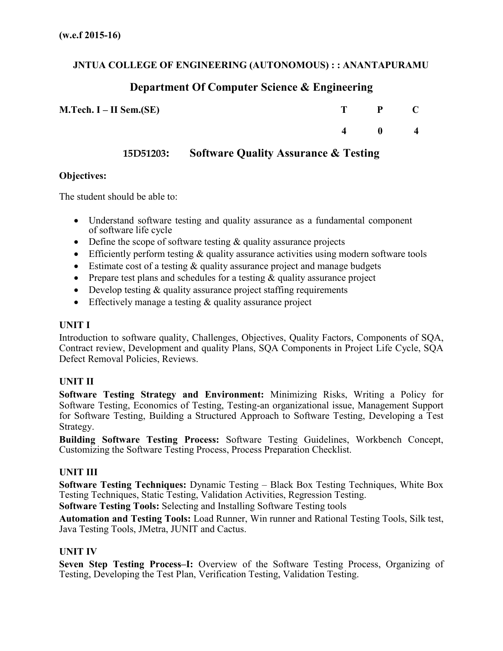## **JNTUA COLLEGE OF ENGINEERING (AUTONOMOUS) : : ANANTAPURAMU**

## **Department Of Computer Science & Engineering**

| $M.Tech. I-II Sem.(SE)$ |                | $T$ $P$ $C$                              |  |
|-------------------------|----------------|------------------------------------------|--|
|                         | $\overline{4}$ | $\begin{array}{ccc} & & 0 & \end{array}$ |  |

**15D51203: Software Quality Assurance & Testing**

### **Objectives:**

The student should be able to:

- Understand software testing and quality assurance as a fundamental component of software life cycle
- Define the scope of software testing  $\&$  quality assurance projects
- Efficiently perform testing  $&$  quality assurance activities using modern software tools
- Estimate cost of a testing & quality assurance project and manage budgets
- Prepare test plans and schedules for a testing  $&$  quality assurance project
- Develop testing & quality assurance project staffing requirements
- Effectively manage a testing & quality assurance project

## **UNIT I**

Introduction to software quality, Challenges, Objectives, Quality Factors, Components of SQA, Contract review, Development and quality Plans, SQA Components in Project Life Cycle, SQA Defect Removal Policies, Reviews.

## **UNIT II**

**Software Testing Strategy and Environment:** Minimizing Risks, Writing a Policy for Software Testing, Economics of Testing, Testing-an organizational issue, Management Support for Software Testing, Building a Structured Approach to Software Testing, Developing a Test Strategy.

**Building Software Testing Process:** Software Testing Guidelines, Workbench Concept, Customizing the Software Testing Process, Process Preparation Checklist.

## **UNIT III**

**Software Testing Techniques:** Dynamic Testing – Black Box Testing Techniques, White Box Testing Techniques, Static Testing, Validation Activities, Regression Testing. **Software Testing Tools:** Selecting and Installing Software Testing tools

**Automation and Testing Tools:** Load Runner, Win runner and Rational Testing Tools, Silk test, Java Testing Tools, JMetra, JUNIT and Cactus.

## **UNIT IV**

**Seven Step Testing Process–I:** Overview of the Software Testing Process, Organizing of Testing, Developing the Test Plan, Verification Testing, Validation Testing.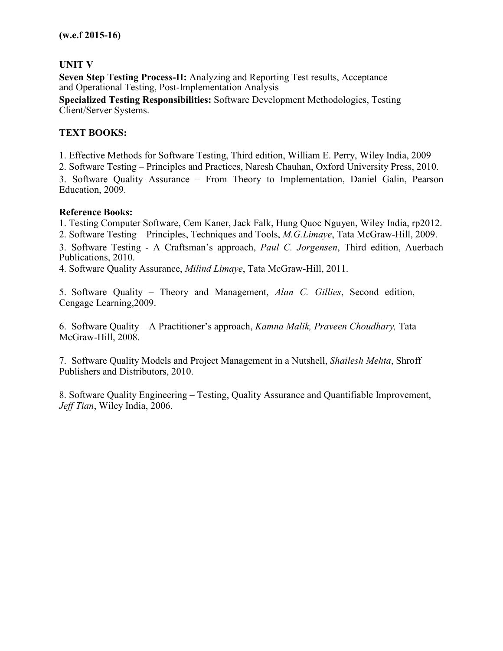## **UNIT V**

**Seven Step Testing Process-II:** Analyzing and Reporting Test results, Acceptance and Operational Testing, Post-Implementation Analysis **Specialized Testing Responsibilities:** Software Development Methodologies, Testing Client/Server Systems.

## **TEXT BOOKS:**

1. Effective Methods for Software Testing, Third edition, William E. Perry, Wiley India, 2009

2. Software Testing – Principles and Practices, Naresh Chauhan, Oxford University Press, 2010.

3. Software Quality Assurance – From Theory to Implementation, Daniel Galin, Pearson Education, 2009.

#### **Reference Books:**

1. Testing Computer Software, Cem Kaner, Jack Falk, Hung Quoc Nguyen, Wiley India, rp2012.

2. Software Testing – Principles, Techniques and Tools, *M.G.Limaye*, Tata McGraw-Hill, 2009.

3. Software Testing - A Craftsman's approach, *Paul C. Jorgensen*, Third edition, Auerbach Publications, 2010.

4. Software Quality Assurance, *Milind Limaye*, Tata McGraw-Hill, 2011.

5. Software Quality – Theory and Management, *Alan C. Gillies*, Second edition, Cengage Learning,2009.

6. Software Quality – A Practitioner's approach, *Kamna Malik, Praveen Choudhary,* Tata McGraw-Hill, 2008.

7. Software Quality Models and Project Management in a Nutshell, *Shailesh Mehta*, Shroff Publishers and Distributors, 2010.

8. Software Quality Engineering – Testing, Quality Assurance and Quantifiable Improvement, *Jeff Tian*, Wiley India, 2006.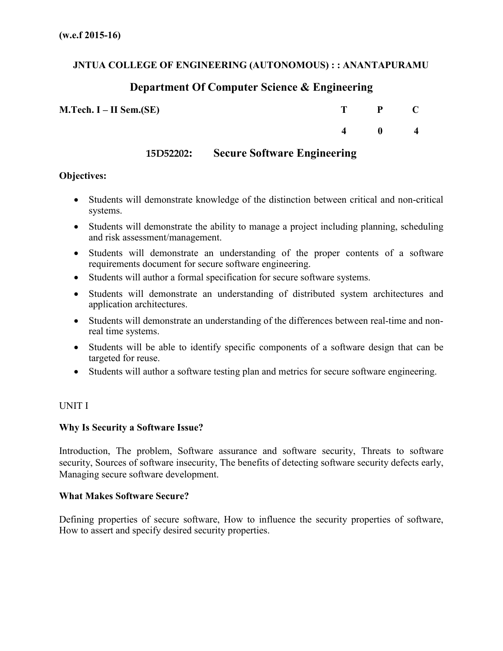## **JNTUA COLLEGE OF ENGINEERING (AUTONOMOUS) : : ANANTAPURAMU**

## **Department Of Computer Science & Engineering**

| $M.Tech. I-II Sem.(SE)$ |                | $T$ $P$ $C$                         |  |
|-------------------------|----------------|-------------------------------------|--|
|                         | $\overline{4}$ | $\begin{matrix} 0 & 4 \end{matrix}$ |  |

## **15D52202: Secure Software Engineering**

#### **Objectives:**

- Students will demonstrate knowledge of the distinction between critical and non-critical systems.
- Students will demonstrate the ability to manage a project including planning, scheduling and risk assessment/management.
- Students will demonstrate an understanding of the proper contents of a software requirements document for secure software engineering.
- Students will author a formal specification for secure software systems.
- Students will demonstrate an understanding of distributed system architectures and application architectures.
- Students will demonstrate an understanding of the differences between real-time and nonreal time systems.
- Students will be able to identify specific components of a software design that can be targeted for reuse.
- Students will author a software testing plan and metrics for secure software engineering.

#### UNIT I

#### **Why Is Security a Software Issue?**

Introduction, The problem, Software assurance and software security, Threats to software security, Sources of software insecurity, The benefits of detecting software security defects early, Managing secure software development.

#### **What Makes Software Secure?**

Defining properties of secure software, How to influence the security properties of software, How to assert and specify desired security properties.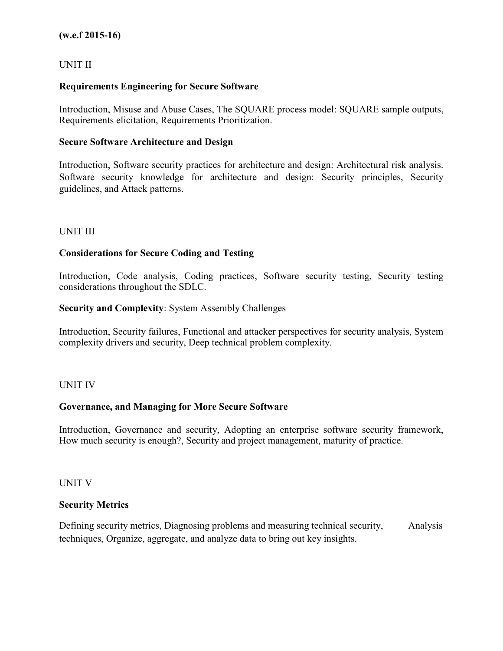### UNIT II

### **Requirements Engineering for Secure Software**

Introduction, Misuse and Abuse Cases, The SQUARE process model: SQUARE sample outputs, Requirements elicitation, Requirements Prioritization.

#### **Secure Software Architecture and Design**

Introduction, Software security practices for architecture and design: Architectural risk analysis. Software security knowledge for architecture and design: Security principles, Security guidelines, and Attack patterns.

#### UNIT III

### **Considerations for Secure Coding and Testing**

Introduction, Code analysis, Coding practices, Software security testing, Security testing considerations throughout the SDLC.

#### **Security and Complexity**: System Assembly Challenges

Introduction, Security failures, Functional and attacker perspectives for security analysis, System complexity drivers and security, Deep technical problem complexity.

#### UNIT IV

#### **Governance, and Managing for More Secure Software**

Introduction, Governance and security, Adopting an enterprise software security framework, How much security is enough?, Security and project management, maturity of practice.

#### UNIT V

#### **Security Metrics**

Defining security metrics, Diagnosing problems and measuring technical security, Analysis techniques, Organize, aggregate, and analyze data to bring out key insights.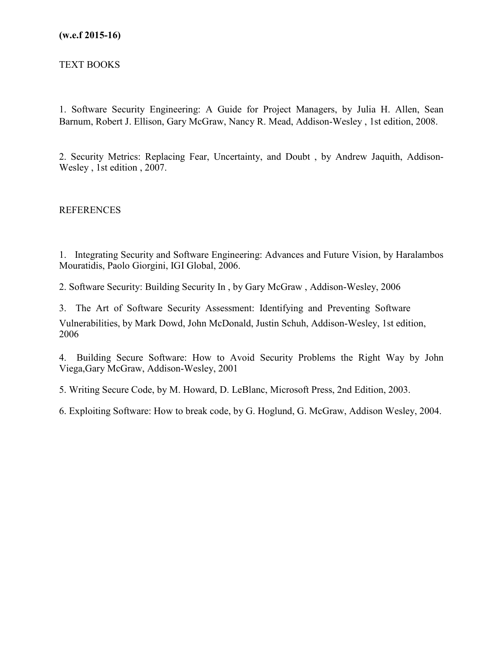### TEXT BOOKS

1. Software Security Engineering: A Guide for Project Managers, by Julia H. Allen, Sean Barnum, Robert J. Ellison, Gary McGraw, Nancy R. Mead, Addison-Wesley , 1st edition, 2008.

2. Security Metrics: Replacing Fear, Uncertainty, and Doubt , by Andrew Jaquith, Addison-Wesley , 1st edition , 2007.

REFERENCES

1. Integrating Security and Software Engineering: Advances and Future Vision, by Haralambos Mouratidis, Paolo Giorgini, IGI Global, 2006.

2. Software Security: Building Security In , by Gary McGraw , Addison-Wesley, 2006

3. The Art of Software Security Assessment: Identifying and Preventing Software Vulnerabilities, by Mark Dowd, John McDonald, Justin Schuh, Addison-Wesley, 1st edition, 2006

4. Building Secure Software: How to Avoid Security Problems the Right Way by John Viega,Gary McGraw, Addison-Wesley, 2001

5. Writing Secure Code, by M. Howard, D. LeBlanc, Microsoft Press, 2nd Edition, 2003.

6. Exploiting Software: How to break code, by G. Hoglund, G. McGraw, Addison Wesley, 2004.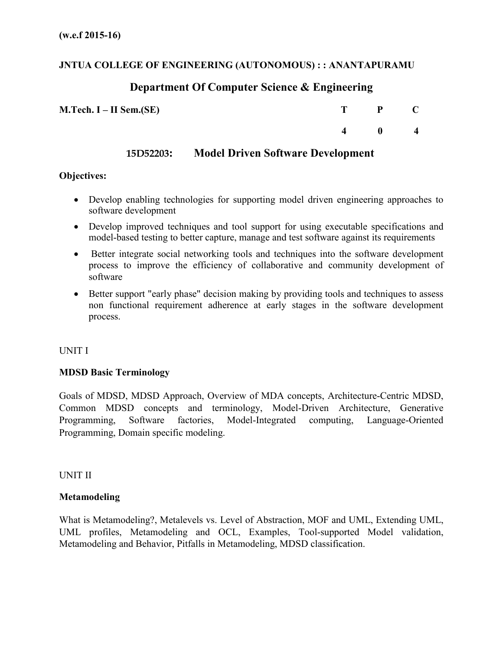## **JNTUA COLLEGE OF ENGINEERING (AUTONOMOUS) : : ANANTAPURAMU**

# **Department Of Computer Science & Engineering**

| $M.Tech. I-II Sem.(SE)$ |                | $T$ $P$ $C$  |                |
|-------------------------|----------------|--------------|----------------|
|                         | $\overline{4}$ | $\mathbf{0}$ | $\overline{4}$ |

## **15D52203: Model Driven Software Development**

## **Objectives:**

- Develop enabling technologies for supporting model driven engineering approaches to software development
- Develop improved techniques and tool support for using executable specifications and model-based testing to better capture, manage and test software against its requirements
- Better integrate social networking tools and techniques into the software development process to improve the efficiency of collaborative and community development of software
- Better support "early phase" decision making by providing tools and techniques to assess non functional requirement adherence at early stages in the software development process.

## UNIT I

## **MDSD Basic Terminology**

Goals of MDSD, MDSD Approach, Overview of MDA concepts, Architecture-Centric MDSD, Common MDSD concepts and terminology, Model-Driven Architecture, Generative Programming, Software factories, Model-Integrated computing, Language-Oriented Programming, Domain specific modeling.

UNIT II

## **Metamodeling**

What is Metamodeling?, Metalevels vs. Level of Abstraction, MOF and UML, Extending UML, UML profiles, Metamodeling and OCL, Examples, Tool-supported Model validation, Metamodeling and Behavior, Pitfalls in Metamodeling, MDSD classification.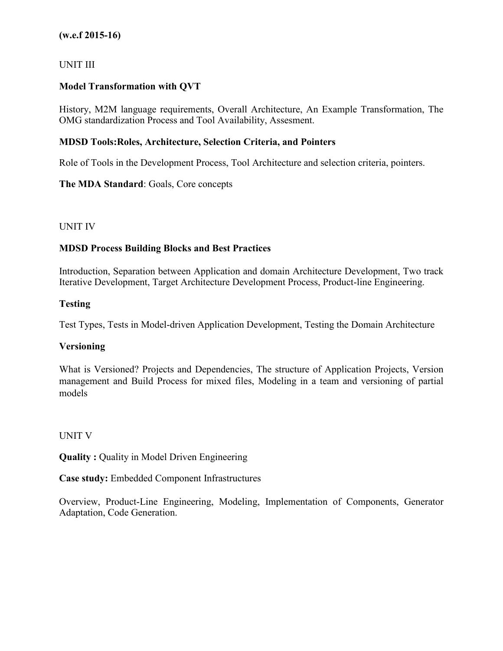### UNIT III

## **Model Transformation with QVT**

History, M2M language requirements, Overall Architecture, An Example Transformation, The OMG standardization Process and Tool Availability, Assesment.

### **MDSD Tools:Roles, Architecture, Selection Criteria, and Pointers**

Role of Tools in the Development Process, Tool Architecture and selection criteria, pointers.

### **The MDA Standard**: Goals, Core concepts

### UNIT IV

## **MDSD Process Building Blocks and Best Practices**

Introduction, Separation between Application and domain Architecture Development, Two track Iterative Development, Target Architecture Development Process, Product-line Engineering.

### **Testing**

Test Types, Tests in Model-driven Application Development, Testing the Domain Architecture

## **Versioning**

What is Versioned? Projects and Dependencies, The structure of Application Projects, Version management and Build Process for mixed files, Modeling in a team and versioning of partial models

#### UNIT V

**Quality :** Quality in Model Driven Engineering

**Case study:** Embedded Component Infrastructures

Overview, Product-Line Engineering, Modeling, Implementation of Components, Generator Adaptation, Code Generation.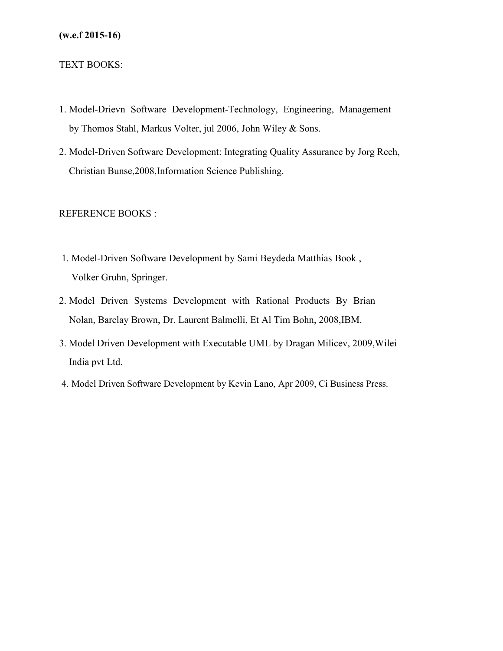#### TEXT BOOKS:

- 1. Model-Drievn Software Development-Technology, Engineering, Management by Thomos Stahl, Markus Volter, jul 2006, John Wiley & Sons.
- 2. Model-Driven Software Development: Integrating Quality Assurance by Jorg Rech, Christian Bunse,2008,Information Science Publishing.

#### REFERENCE BOOKS :

- 1. Model-Driven Software Development by Sami Beydeda Matthias Book , Volker Gruhn, Springer.
- 2. Model Driven Systems Development with Rational Products By Brian Nolan, Barclay Brown, Dr. Laurent Balmelli, Et Al Tim Bohn, 2008,IBM.
- 3. Model Driven Development with Executable UML by Dragan Milicev, 2009,Wilei India pvt Ltd.
- 4. Model Driven Software Development by Kevin Lano, Apr 2009, Ci Business Press.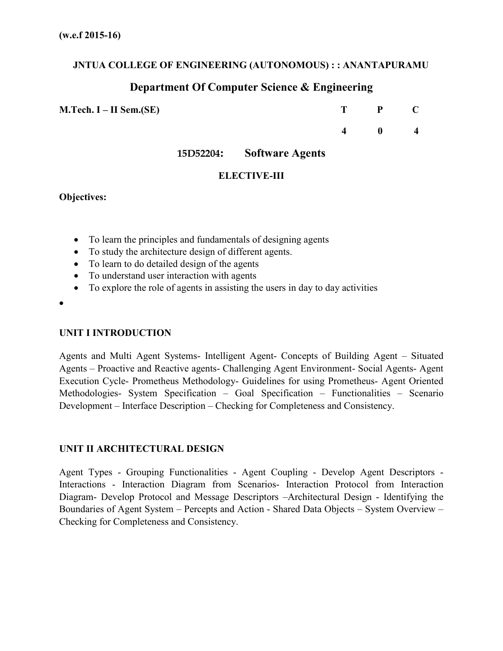## **JNTUA COLLEGE OF ENGINEERING (AUTONOMOUS) : : ANANTAPURAMU**

## **Department Of Computer Science & Engineering**

**M.Tech. I – II Sem.(SE) T P C**

**4 0 4**

**15D52204: Software Agents**

## **ELECTIVE-III**

#### **Objectives:**

- To learn the principles and fundamentals of designing agents
- To study the architecture design of different agents.
- To learn to do detailed design of the agents
- To understand user interaction with agents
- To explore the role of agents in assisting the users in day to day activities
- •

## **UNIT I INTRODUCTION**

Agents and Multi Agent Systems- Intelligent Agent- Concepts of Building Agent – Situated Agents – Proactive and Reactive agents- Challenging Agent Environment- Social Agents- Agent Execution Cycle- Prometheus Methodology- Guidelines for using Prometheus- Agent Oriented Methodologies- System Specification – Goal Specification – Functionalities – Scenario Development – Interface Description – Checking for Completeness and Consistency.

## **UNIT II ARCHITECTURAL DESIGN**

Agent Types - Grouping Functionalities - Agent Coupling - Develop Agent Descriptors - Interactions - Interaction Diagram from Scenarios- Interaction Protocol from Interaction Diagram- Develop Protocol and Message Descriptors –Architectural Design - Identifying the Boundaries of Agent System – Percepts and Action - Shared Data Objects – System Overview – Checking for Completeness and Consistency.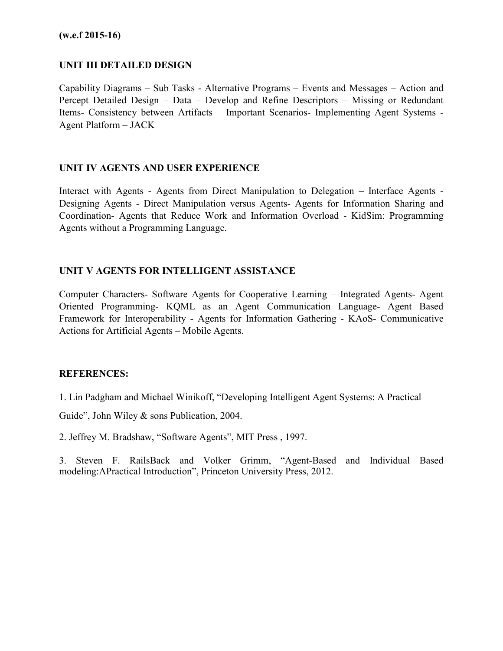### **UNIT III DETAILED DESIGN**

Capability Diagrams – Sub Tasks - Alternative Programs – Events and Messages – Action and Percept Detailed Design – Data – Develop and Refine Descriptors – Missing or Redundant Items- Consistency between Artifacts – Important Scenarios- Implementing Agent Systems - Agent Platform – JACK

### **UNIT IV AGENTS AND USER EXPERIENCE**

Interact with Agents - Agents from Direct Manipulation to Delegation – Interface Agents - Designing Agents - Direct Manipulation versus Agents- Agents for Information Sharing and Coordination- Agents that Reduce Work and Information Overload - KidSim: Programming Agents without a Programming Language.

### **UNIT V AGENTS FOR INTELLIGENT ASSISTANCE**

Computer Characters- Software Agents for Cooperative Learning – Integrated Agents- Agent Oriented Programming- KQML as an Agent Communication Language- Agent Based Framework for Interoperability - Agents for Information Gathering - KAoS- Communicative Actions for Artificial Agents – Mobile Agents.

#### **REFERENCES:**

1. Lin Padgham and Michael Winikoff, "Developing Intelligent Agent Systems: A Practical

Guide", John Wiley & sons Publication, 2004.

2. Jeffrey M. Bradshaw, "Software Agents", MIT Press , 1997.

3. Steven F. RailsBack and Volker Grimm, "Agent-Based and Individual Based modeling:APractical Introduction", Princeton University Press, 2012.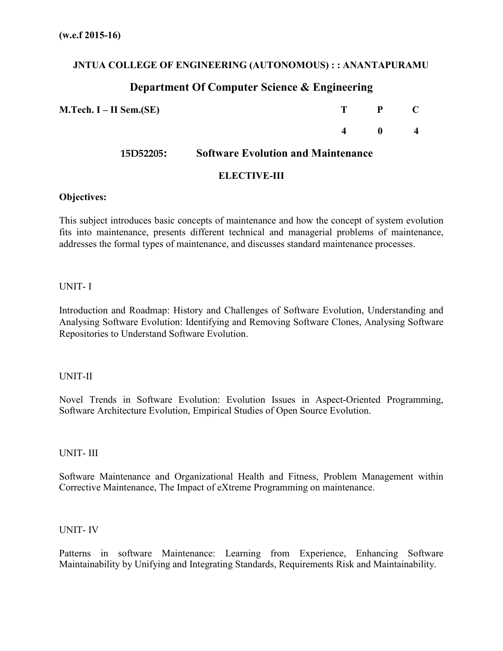## **JNTUA COLLEGE OF ENGINEERING (AUTONOMOUS) : : ANANTAPURAMU**

# **Department Of Computer Science & Engineering**

| $M.Tech. I-II Sem.(SE)$ |                                           | P            | - C              |
|-------------------------|-------------------------------------------|--------------|------------------|
|                         |                                           | $\mathbf{u}$ | $\boldsymbol{4}$ |
| 15D52205:               | <b>Software Evolution and Maintenance</b> |              |                  |

### **ELECTIVE-III**

#### **Objectives:**

This subject introduces basic concepts of maintenance and how the concept of system evolution fits into maintenance, presents different technical and managerial problems of maintenance, addresses the formal types of maintenance, and discusses standard maintenance processes.

### UNIT- I

Introduction and Roadmap: History and Challenges of Software Evolution, Understanding and Analysing Software Evolution: Identifying and Removing Software Clones, Analysing Software Repositories to Understand Software Evolution.

#### UNIT-II

Novel Trends in Software Evolution: Evolution Issues in Aspect-Oriented Programming, Software Architecture Evolution, Empirical Studies of Open Source Evolution.

#### UNIT- III

Software Maintenance and Organizational Health and Fitness, Problem Management within Corrective Maintenance, The Impact of eXtreme Programming on maintenance.

#### UNIT- IV

Patterns in software Maintenance: Learning from Experience, Enhancing Software Maintainability by Unifying and Integrating Standards, Requirements Risk and Maintainability.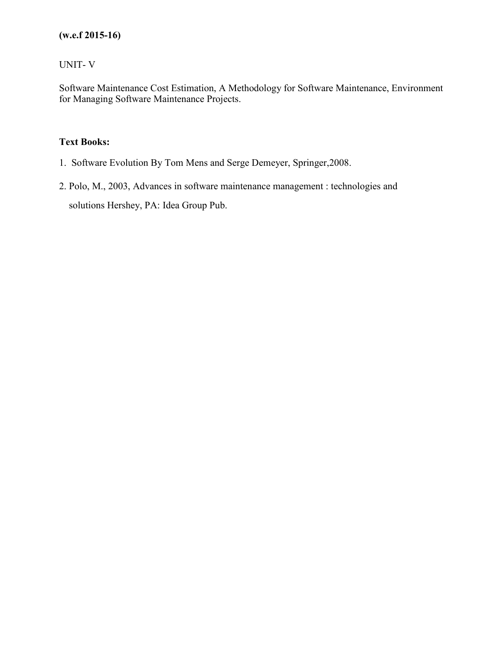## UNIT- V

Software Maintenance Cost Estimation, A Methodology for Software Maintenance, Environment for Managing Software Maintenance Projects.

## **Text Books:**

- 1. Software Evolution By Tom Mens and Serge Demeyer, Springer,2008.
- 2. Polo, M., 2003, Advances in software maintenance management : technologies and solutions Hershey, PA: Idea Group Pub.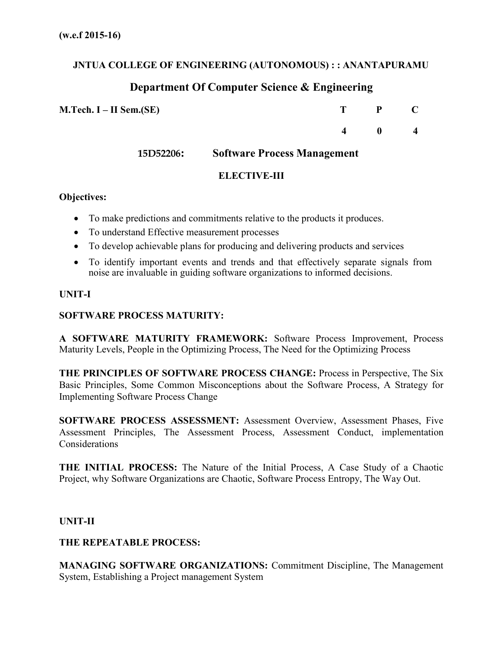## **JNTUA COLLEGE OF ENGINEERING (AUTONOMOUS) : : ANANTAPURAMU**

## **Department Of Computer Science & Engineering**

**M.Tech. I – II Sem.(SE) T P C**

**15D52206: Software Process Management**

**4 0 4**

## **ELECTIVE-III**

## **Objectives:**

- To make predictions and commitments relative to the products it produces.
- To understand Effective measurement processes
- To develop achievable plans for producing and delivering products and services
- To identify important events and trends and that effectively separate signals from noise are invaluable in guiding software organizations to informed decisions.

### **UNIT-I**

### **SOFTWARE PROCESS MATURITY:**

**A SOFTWARE MATURITY FRAMEWORK:** Software Process Improvement, Process Maturity Levels, People in the Optimizing Process, The Need for the Optimizing Process

**THE PRINCIPLES OF SOFTWARE PROCESS CHANGE:** Process in Perspective, The Six Basic Principles, Some Common Misconceptions about the Software Process, A Strategy for Implementing Software Process Change

**SOFTWARE PROCESS ASSESSMENT:** Assessment Overview, Assessment Phases, Five Assessment Principles, The Assessment Process, Assessment Conduct, implementation Considerations

**THE INITIAL PROCESS:** The Nature of the Initial Process, A Case Study of a Chaotic Project, why Software Organizations are Chaotic, Software Process Entropy, The Way Out.

#### **UNIT-II**

#### **THE REPEATABLE PROCESS:**

**MANAGING SOFTWARE ORGANIZATIONS:** Commitment Discipline, The Management System, Establishing a Project management System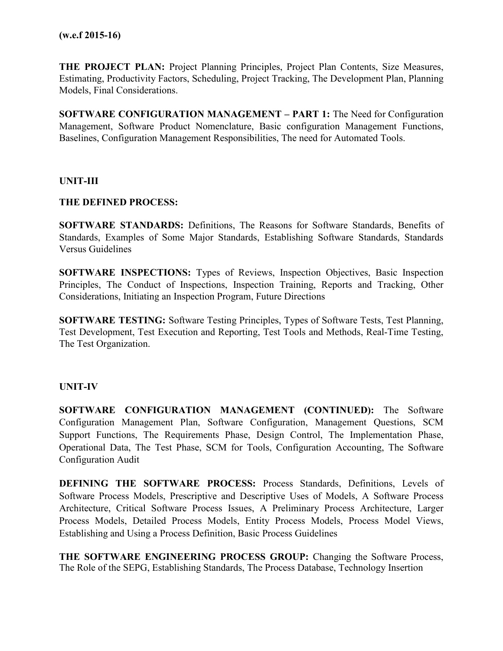**THE PROJECT PLAN:** Project Planning Principles, Project Plan Contents, Size Measures, Estimating, Productivity Factors, Scheduling, Project Tracking, The Development Plan, Planning Models, Final Considerations.

**SOFTWARE CONFIGURATION MANAGEMENT – PART 1:** The Need for Configuration Management, Software Product Nomenclature, Basic configuration Management Functions, Baselines, Configuration Management Responsibilities, The need for Automated Tools.

#### **UNIT-III**

#### **THE DEFINED PROCESS:**

**SOFTWARE STANDARDS:** Definitions, The Reasons for Software Standards, Benefits of Standards, Examples of Some Major Standards, Establishing Software Standards, Standards Versus Guidelines

**SOFTWARE INSPECTIONS:** Types of Reviews, Inspection Objectives, Basic Inspection Principles, The Conduct of Inspections, Inspection Training, Reports and Tracking, Other Considerations, Initiating an Inspection Program, Future Directions

**SOFTWARE TESTING:** Software Testing Principles, Types of Software Tests, Test Planning, Test Development, Test Execution and Reporting, Test Tools and Methods, Real-Time Testing, The Test Organization.

#### **UNIT-IV**

**SOFTWARE CONFIGURATION MANAGEMENT (CONTINUED):** The Software Configuration Management Plan, Software Configuration, Management Questions, SCM Support Functions, The Requirements Phase, Design Control, The Implementation Phase, Operational Data, The Test Phase, SCM for Tools, Configuration Accounting, The Software Configuration Audit

**DEFINING THE SOFTWARE PROCESS:** Process Standards, Definitions, Levels of Software Process Models, Prescriptive and Descriptive Uses of Models, A Software Process Architecture, Critical Software Process Issues, A Preliminary Process Architecture, Larger Process Models, Detailed Process Models, Entity Process Models, Process Model Views, Establishing and Using a Process Definition, Basic Process Guidelines

**THE SOFTWARE ENGINEERING PROCESS GROUP:** Changing the Software Process, The Role of the SEPG, Establishing Standards, The Process Database, Technology Insertion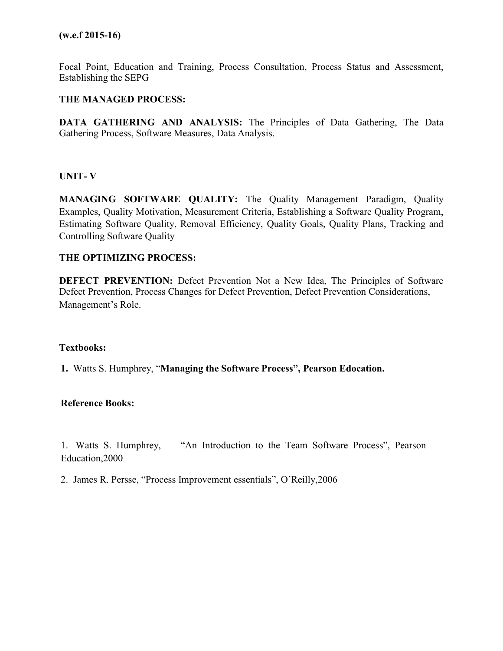Focal Point, Education and Training, Process Consultation, Process Status and Assessment, Establishing the SEPG

#### **THE MANAGED PROCESS:**

**DATA GATHERING AND ANALYSIS:** The Principles of Data Gathering, The Data Gathering Process, Software Measures, Data Analysis.

#### **UNIT- V**

**MANAGING SOFTWARE QUALITY:** The Quality Management Paradigm, Quality Examples, Quality Motivation, Measurement Criteria, Establishing a Software Quality Program, Estimating Software Quality, Removal Efficiency, Quality Goals, Quality Plans, Tracking and Controlling Software Quality

#### **THE OPTIMIZING PROCESS:**

**DEFECT PREVENTION:** Defect Prevention Not a New Idea, The Principles of Software Defect Prevention, Process Changes for Defect Prevention, Defect Prevention Considerations, Management's Role.

#### **Textbooks:**

**1.** Watts S. Humphrey, "**Managing the Software Process", Pearson Edocation.**

#### **Reference Books:**

1. Watts S. Humphrey, "An Introduction to the Team Software Process", Pearson Education,2000

2. James R. Persse, "Process Improvement essentials", O'Reilly,2006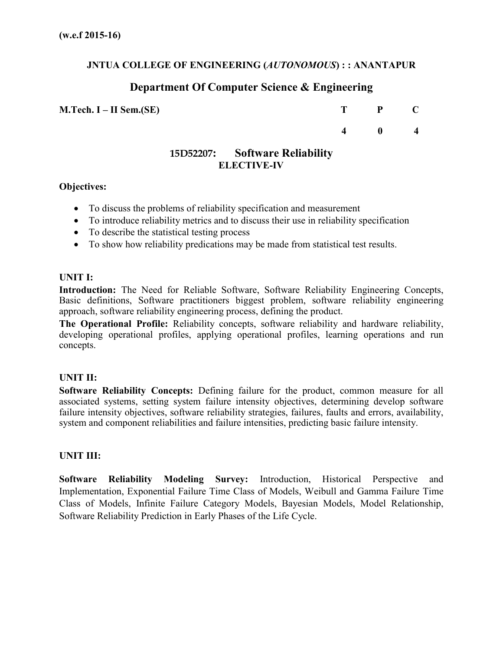## **JNTUA COLLEGE OF ENGINEERING (***AUTONOMOUS***) : : ANANTAPUR**

## **Department Of Computer Science & Engineering**

**M.Tech. I – II Sem.(SE) T P C**

**4 0 4**

## **15D52207: Software Reliability ELECTIVE-IV**

### **Objectives:**

- To discuss the problems of reliability specification and measurement
- To introduce reliability metrics and to discuss their use in reliability specification
- To describe the statistical testing process
- To show how reliability predications may be made from statistical test results.

#### **UNIT I:**

**Introduction:** The Need for Reliable Software, Software Reliability Engineering Concepts, Basic definitions, Software practitioners biggest problem, software reliability engineering approach, software reliability engineering process, defining the product.

**The Operational Profile:** Reliability concepts, software reliability and hardware reliability, developing operational profiles, applying operational profiles, learning operations and run concepts.

## **UNIT II:**

**Software Reliability Concepts:** Defining failure for the product, common measure for all associated systems, setting system failure intensity objectives, determining develop software failure intensity objectives, software reliability strategies, failures, faults and errors, availability, system and component reliabilities and failure intensities, predicting basic failure intensity.

#### **UNIT III:**

**Software Reliability Modeling Survey:** Introduction, Historical Perspective and Implementation, Exponential Failure Time Class of Models, Weibull and Gamma Failure Time Class of Models, Infinite Failure Category Models, Bayesian Models, Model Relationship, Software Reliability Prediction in Early Phases of the Life Cycle.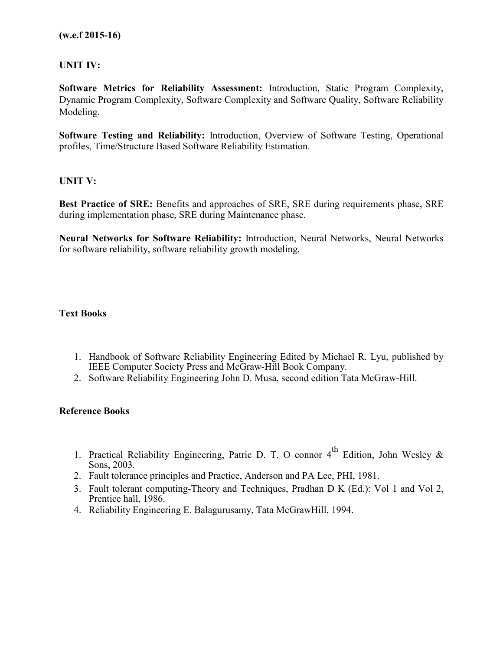### **UNIT IV:**

**Software Metrics for Reliability Assessment:** Introduction, Static Program Complexity, Dynamic Program Complexity, Software Complexity and Software Quality, Software Reliability Modeling.

**Software Testing and Reliability:** Introduction, Overview of Software Testing, Operational profiles, Time/Structure Based Software Reliability Estimation.

#### **UNIT V:**

**Best Practice of SRE:** Benefits and approaches of SRE, SRE during requirements phase, SRE during implementation phase, SRE during Maintenance phase.

**Neural Networks for Software Reliability:** Introduction, Neural Networks, Neural Networks for software reliability, software reliability growth modeling.

#### **Text Books**

- 1. Handbook of Software Reliability Engineering Edited by Michael R. Lyu, published by IEEE Computer Society Press and McGraw-Hill Book Company.
- 2. Software Reliability Engineering John D. Musa, second edition Tata McGraw-Hill.

#### **Reference Books**

- 1. Practical Reliability Engineering, Patric D. T. O connor  $4^{th}$  Edition, John Wesley & Sons, 2003.
- 2. Fault tolerance principles and Practice, Anderson and PA Lee, PHI, 1981.
- 3. Fault tolerant computing-Theory and Techniques, Pradhan D K (Ed.): Vol 1 and Vol 2, Prentice hall, 1986.
- 4. Reliability Engineering E. Balagurusamy, Tata McGrawHill, 1994.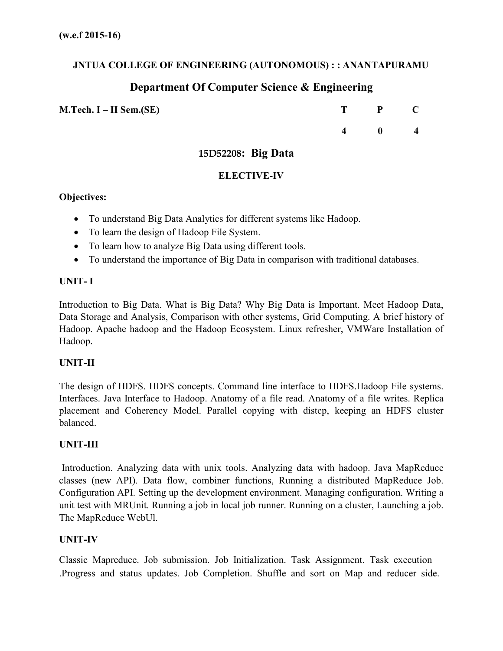## **JNTUA COLLEGE OF ENGINEERING (AUTONOMOUS) : : ANANTAPURAMU**

## **Department Of Computer Science & Engineering**

**M.Tech. I – II Sem.(SE)** 

| T | ${\bf P}$ | $\mathbf C$ |
|---|-----------|-------------|
| 4 | 0         | 4           |

## **15D52208: Big Data**

### **ELECTIVE-IV**

### **Objectives:**

- To understand Big Data Analytics for different systems like Hadoop.
- To learn the design of Hadoop File System.
- To learn how to analyze Big Data using different tools.
- To understand the importance of Big Data in comparison with traditional databases.

## **UNIT- I**

Introduction to Big Data. What is Big Data? Why Big Data is Important. Meet Hadoop Data, Data Storage and Analysis, Comparison with other systems, Grid Computing. A brief history of Hadoop. Apache hadoop and the Hadoop Ecosystem. Linux refresher, VMWare Installation of Hadoop.

#### **UNIT-II**

The design of HDFS. HDFS concepts. Command line interface to HDFS.Hadoop File systems. Interfaces. Java Interface to Hadoop. Anatomy of a file read. Anatomy of a file writes. Replica placement and Coherency Model. Parallel copying with distcp, keeping an HDFS cluster balanced.

#### **UNIT-III**

Introduction. Analyzing data with unix tools. Analyzing data with hadoop. Java MapReduce classes (new API). Data flow, combiner functions, Running a distributed MapReduce Job. Configuration API. Setting up the development environment. Managing configuration. Writing a unit test with MRUnit. Running a job in local job runner. Running on a cluster, Launching a job. The MapReduce WebUl.

## **UNIT-IV**

Classic Mapreduce. Job submission. Job Initialization. Task Assignment. Task execution .Progress and status updates. Job Completion. Shuffle and sort on Map and reducer side.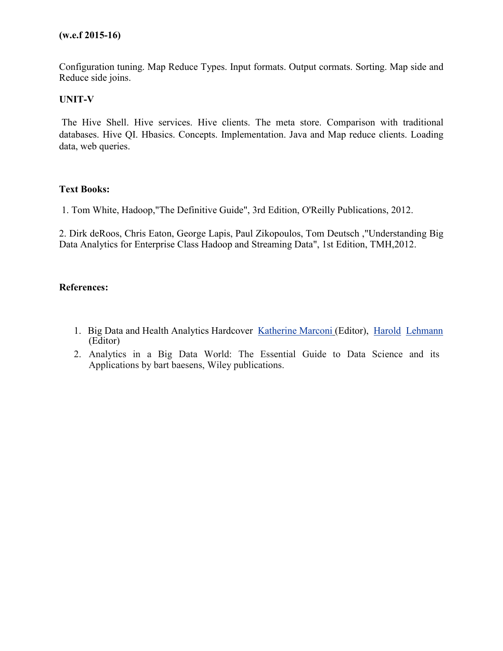Configuration tuning. Map Reduce Types. Input formats. Output cormats. Sorting. Map side and Reduce side joins.

## **UNIT-V**

The Hive Shell. Hive services. Hive clients. The meta store. Comparison with traditional databases. Hive QI. Hbasics. Concepts. Implementation. Java and Map reduce clients. Loading data, web queries.

#### **Text Books:**

1. Tom White, Hadoop,"The Definitive Guide", 3rd Edition, O'Reilly Publications, 2012.

2. Dirk deRoos, Chris Eaton, George Lapis, Paul Zikopoulos, Tom Deutsch ,"Understanding Big Data Analytics for Enterprise Class Hadoop and Streaming Data", 1st Edition, TMH,2012.

#### **References:**

- 1. Big Data and Health Analytics Hardcover Katherine Marconi (Editor), Harold Lehmann (Editor)
- 2. Analytics in a Big Data World: The Essential Guide to Data Science and its Applications by bart baesens, Wiley publications.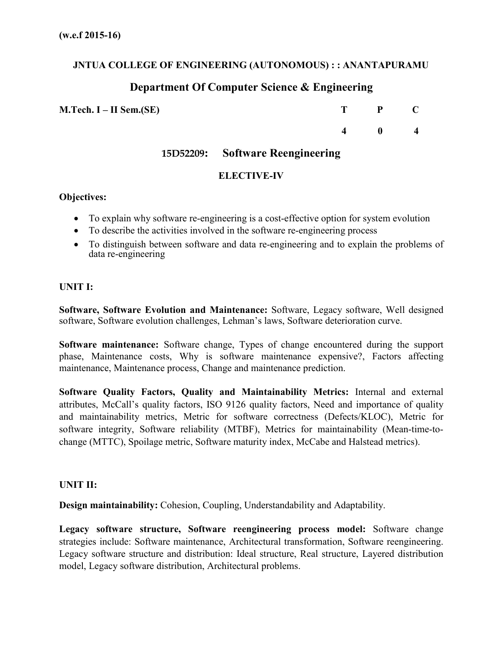## **JNTUA COLLEGE OF ENGINEERING (AUTONOMOUS) : : ANANTAPURAMU**

## **Department Of Computer Science & Engineering**

**M.Tech. I – II Sem.(SE)** 

| T | P | C |
|---|---|---|
| 4 | 0 | 4 |

**15D52209: Software Reengineering**

## **ELECTIVE-IV**

### **Objectives:**

- To explain why software re-engineering is a cost-effective option for system evolution
- To describe the activities involved in the software re-engineering process
- To distinguish between software and data re-engineering and to explain the problems of data re-engineering

## **UNIT I:**

**Software, Software Evolution and Maintenance:** Software, Legacy software, Well designed software, Software evolution challenges, Lehman's laws, Software deterioration curve.

**Software maintenance:** Software change, Types of change encountered during the support phase, Maintenance costs, Why is software maintenance expensive?, Factors affecting maintenance, Maintenance process, Change and maintenance prediction.

**Software Quality Factors, Quality and Maintainability Metrics:** Internal and external attributes, McCall's quality factors, ISO 9126 quality factors, Need and importance of quality and maintainability metrics, Metric for software correctness (Defects/KLOC), Metric for software integrity, Software reliability (MTBF), Metrics for maintainability (Mean-time-tochange (MTTC), Spoilage metric, Software maturity index, McCabe and Halstead metrics).

#### **UNIT II:**

**Design maintainability:** Cohesion, Coupling, Understandability and Adaptability.

**Legacy software structure, Software reengineering process model:** Software change strategies include: Software maintenance, Architectural transformation, Software reengineering. Legacy software structure and distribution: Ideal structure, Real structure, Layered distribution model, Legacy software distribution, Architectural problems.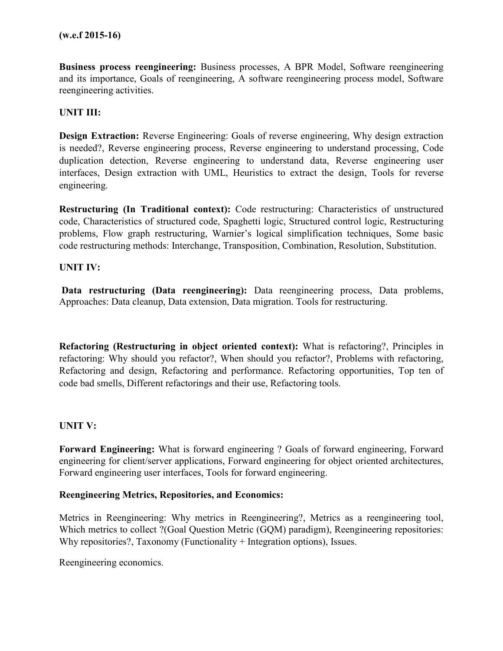**Business process reengineering:** Business processes, A BPR Model, Software reengineering and its importance, Goals of reengineering, A software reengineering process model, Software reengineering activities.

## **UNIT III:**

**Design Extraction:** Reverse Engineering: Goals of reverse engineering, Why design extraction is needed?, Reverse engineering process, Reverse engineering to understand processing, Code duplication detection, Reverse engineering to understand data, Reverse engineering user interfaces, Design extraction with UML, Heuristics to extract the design, Tools for reverse engineering.

**Restructuring (In Traditional context):** Code restructuring: Characteristics of unstructured code, Characteristics of structured code, Spaghetti logic, Structured control logic, Restructuring problems, Flow graph restructuring, Warnier's logical simplification techniques, Some basic code restructuring methods: Interchange, Transposition, Combination, Resolution, Substitution.

#### **UNIT IV:**

**Data restructuring (Data reengineering):** Data reengineering process, Data problems, Approaches: Data cleanup, Data extension, Data migration. Tools for restructuring.

**Refactoring (Restructuring in object oriented context):** What is refactoring?, Principles in refactoring: Why should you refactor?, When should you refactor?, Problems with refactoring, Refactoring and design, Refactoring and performance. Refactoring opportunities, Top ten of code bad smells, Different refactorings and their use, Refactoring tools.

#### **UNIT V:**

**Forward Engineering:** What is forward engineering ? Goals of forward engineering, Forward engineering for client/server applications, Forward engineering for object oriented architectures, Forward engineering user interfaces, Tools for forward engineering.

#### **Reengineering Metrics, Repositories, and Economics:**

Metrics in Reengineering: Why metrics in Reengineering?, Metrics as a reengineering tool, Which metrics to collect ?(Goal Question Metric (GOM) paradigm), Reengineering repositories: Why repositories?, Taxonomy (Functionality + Integration options), Issues.

Reengineering economics.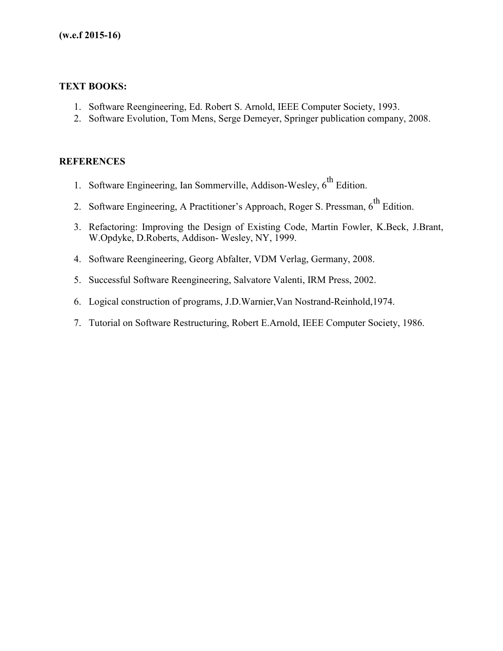### **TEXT BOOKS:**

- 1. Software Reengineering, Ed. Robert S. Arnold, IEEE Computer Society, 1993.
- 2. Software Evolution, Tom Mens, Serge Demeyer, Springer publication company, 2008.

### **REFERENCES**

- 1. Software Engineering, Ian Sommerville, Addison-Wesley,  $6^{\text{th}}$  Edition.
- 2. Software Engineering, A Practitioner's Approach, Roger S. Pressman,  $6^{th}$  Edition.
- 3. Refactoring: Improving the Design of Existing Code, Martin Fowler, K.Beck, J.Brant, W.Opdyke, D.Roberts, Addison- Wesley, NY, 1999.
- 4. Software Reengineering, Georg Abfalter, VDM Verlag, Germany, 2008.
- 5. Successful Software Reengineering, Salvatore Valenti, IRM Press, 2002.
- 6. Logical construction of programs, J.D.Warnier,Van Nostrand-Reinhold,1974.
- 7. Tutorial on Software Restructuring, Robert E.Arnold, IEEE Computer Society, 1986.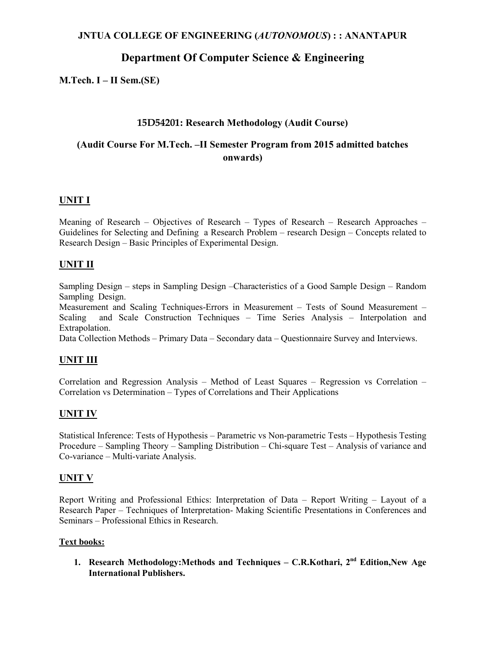# **Department Of Computer Science & Engineering**

**M.Tech. I – II Sem.(SE)** 

### **15D54201: Research Methodology (Audit Course)**

## **(Audit Course For M.Tech. –II Semester Program from 2015 admitted batches onwards)**

### **UNIT I**

Meaning of Research – Objectives of Research – Types of Research – Research Approaches – Guidelines for Selecting and Defining a Research Problem – research Design – Concepts related to Research Design – Basic Principles of Experimental Design.

#### **UNIT II**

Sampling Design – steps in Sampling Design –Characteristics of a Good Sample Design – Random Sampling Design.

Measurement and Scaling Techniques-Errors in Measurement – Tests of Sound Measurement – Scaling and Scale Construction Techniques – Time Series Analysis – Interpolation and Extrapolation.

Data Collection Methods – Primary Data – Secondary data – Questionnaire Survey and Interviews.

#### **UNIT III**

Correlation and Regression Analysis – Method of Least Squares – Regression vs Correlation – Correlation vs Determination – Types of Correlations and Their Applications

#### **UNIT IV**

Statistical Inference: Tests of Hypothesis – Parametric vs Non-parametric Tests – Hypothesis Testing Procedure – Sampling Theory – Sampling Distribution – Chi-square Test – Analysis of variance and Co-variance – Multi-variate Analysis.

#### **UNIT V**

Report Writing and Professional Ethics: Interpretation of Data – Report Writing – Layout of a Research Paper – Techniques of Interpretation- Making Scientific Presentations in Conferences and Seminars – Professional Ethics in Research.

#### **Text books:**

**1. Research Methodology:Methods and Techniques – C.R.Kothari, 2nd Edition,New Age International Publishers.**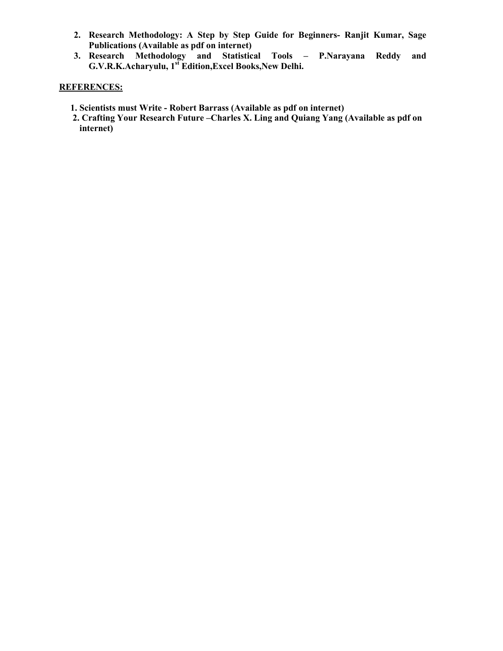- **2. Research Methodology: A Step by Step Guide for Beginners- Ranjit Kumar, Sage Publications (Available as pdf on internet)**
- **3. Research Methodology and Statistical Tools P.Narayana Reddy and G.V.R.K.Acharyulu, 1st Edition,Excel Books,New Delhi.**

### **REFERENCES:**

- **1. Scientists must Write Robert Barrass (Available as pdf on internet)**
- **2. Crafting Your Research Future –Charles X. Ling and Quiang Yang (Available as pdf on internet)**